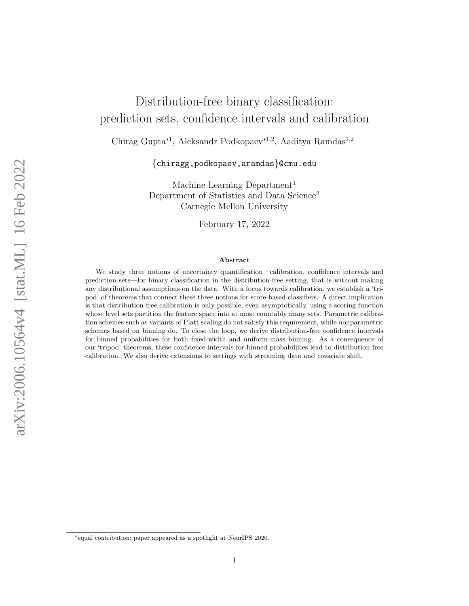# Distribution-free binary classification: prediction sets, confidence intervals and calibration

Chirag Gupta<sup>∗</sup><sup>1</sup> , Aleksandr Podkopaev<sup>∗</sup>1,<sup>2</sup> , Aaditya Ramdas<sup>1</sup>,<sup>2</sup>

{chiragg,podkopaev,aramdas}@cmu.edu

Machine Learning Department<sup>1</sup> Department of Statistics and Data Science<sup>2</sup> Carnegie Mellon University

February 17, 2022

#### Abstract

We study three notions of uncertainty quantification—calibration, confidence intervals and prediction sets—for binary classification in the distribution-free setting, that is without making any distributional assumptions on the data. With a focus towards calibration, we establish a 'tripod' of theorems that connect these three notions for score-based classifiers. A direct implication is that distribution-free calibration is only possible, even asymptotically, using a scoring function whose level sets partition the feature space into at most countably many sets. Parametric calibration schemes such as variants of Platt scaling do not satisfy this requirement, while nonparametric schemes based on binning do. To close the loop, we derive distribution-free confidence intervals for binned probabilities for both fixed-width and uniform-mass binning. As a consequence of our 'tripod' theorems, these confidence intervals for binned probabilities lead to distribution-free calibration. We also derive extensions to settings with streaming data and covariate shift.

<sup>∗</sup>equal contribution; paper appeared as a spotlight at NeurIPS 2020.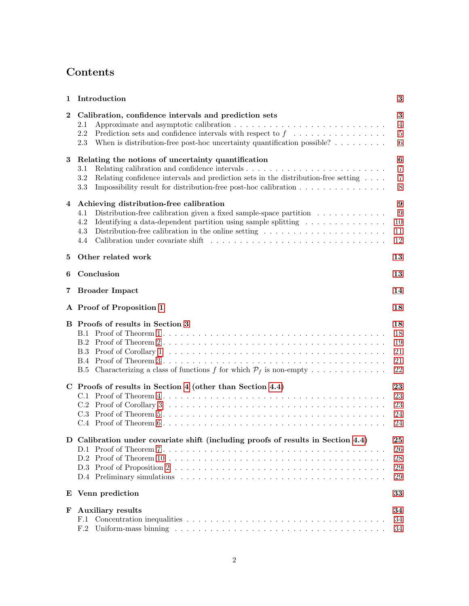## Contents

| 1        | Introduction                                                                                                                                                                                                                                                                                                                                                                      | 3                                                     |
|----------|-----------------------------------------------------------------------------------------------------------------------------------------------------------------------------------------------------------------------------------------------------------------------------------------------------------------------------------------------------------------------------------|-------------------------------------------------------|
| $\bf{2}$ | Calibration, confidence intervals and prediction sets<br>$2.1\,$<br>Prediction sets and confidence intervals with respect to $f \ldots \ldots \ldots \ldots \ldots$<br>2.2<br>When is distribution-free post-hoc uncertainty quantification possible? $\dots \dots$<br>2.3                                                                                                        | $\bf{3}$<br>$\overline{4}$<br>5<br>$\,6\,$            |
| 3        | Relating the notions of uncertainty quantification<br>3.1<br>3.2<br>Relating confidence intervals and prediction sets in the distribution-free setting $\dots$ .<br>3.3<br>Impossibility result for distribution-free post-hoc calibration $\dots \dots \dots \dots \dots$                                                                                                        | $\bf{6}$<br>$\overline{7}$<br>$\overline{7}$<br>$8\,$ |
| 4        | Achieving distribution-free calibration<br>Distribution-free calibration given a fixed sample-space partition $\ldots \ldots \ldots \ldots$<br>4.1<br>Identifying a data-dependent partition using sample splitting $\dots \dots \dots \dots \dots$<br>4.2<br>Distribution-free calibration in the online setting $\dots \dots \dots \dots \dots \dots \dots \dots$<br>4.3<br>4.4 | $\boldsymbol{9}$<br>9<br>10<br>11<br>12               |
| 5        | Other related work                                                                                                                                                                                                                                                                                                                                                                | 13                                                    |
| 6        | Conclusion                                                                                                                                                                                                                                                                                                                                                                        | 13                                                    |
| 7        | <b>Broader Impact</b>                                                                                                                                                                                                                                                                                                                                                             | 14                                                    |
|          | A Proof of Proposition 1                                                                                                                                                                                                                                                                                                                                                          | 18                                                    |
|          | <b>B</b> Proofs of results in Section 3<br>B.5 Characterizing a class of functions f for which $P_f$ is non-empty                                                                                                                                                                                                                                                                 | 18<br>18<br>19<br>21<br>21<br>22                      |
|          | C Proofs of results in Section 4 (other than Section 4.4)                                                                                                                                                                                                                                                                                                                         | 23<br>23<br>23<br>24<br>24                            |
| D        | Calibration under covariate shift (including proofs of results in Section 4.4)                                                                                                                                                                                                                                                                                                    | ${\bf 25}$<br>26<br>28<br>29<br>29                    |
|          | E Venn prediction                                                                                                                                                                                                                                                                                                                                                                 | 33                                                    |
| F        | <b>Auxiliary results</b><br>F.1<br>F.2                                                                                                                                                                                                                                                                                                                                            | 34<br>34<br>34                                        |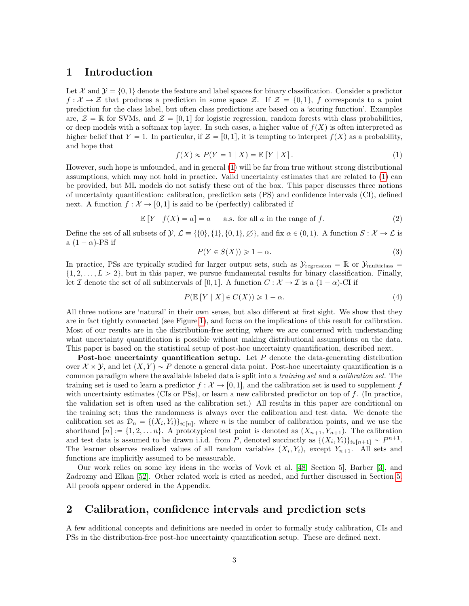### <span id="page-2-0"></span>1 Introduction

Let X and  $\mathcal{Y} = \{0, 1\}$  denote the feature and label spaces for binary classification. Consider a predictor  $f: \mathcal{X} \to \mathcal{Z}$  that produces a prediction in some space Z. If  $\mathcal{Z} = \{0, 1\}$ , f corresponds to a point prediction for the class label, but often class predictions are based on a 'scoring function'. Examples are,  $\mathcal{Z} = \mathbb{R}$  for SVMs, and  $\mathcal{Z} = [0, 1]$  for logistic regression, random forests with class probabilities, or deep models with a softmax top layer. In such cases, a higher value of  $f(X)$  is often interpreted as higher belief that  $Y = 1$ . In particular, if  $\mathcal{Z} = [0, 1]$ , it is tempting to interpret  $f(X)$  as a probability, and hope that

<span id="page-2-2"></span>
$$
f(X) \approx P(Y = 1 | X) = \mathbb{E}[Y | X]. \tag{1}
$$

However, such hope is unfounded, and in general [\(1\)](#page-2-2) will be far from true without strong distributional assumptions, which may not hold in practice. Valid uncertainty estimates that are related to [\(1\)](#page-2-2) can be provided, but ML models do not satisfy these out of the box. This paper discusses three notions of uncertainty quantification: calibration, prediction sets (PS) and confidence intervals (CI), defined next. A function  $f: \mathcal{X} \to [0, 1]$  is said to be (perfectly) calibrated if

<span id="page-2-3"></span>
$$
\mathbb{E}[Y | f(X) = a] = a \quad \text{a.s. for all } a \text{ in the range of } f. \tag{2}
$$

Define the set of all subsets of  $\mathcal{Y}, \mathcal{L} \equiv \{ \{0\}, \{1\}, \{0, 1\}, \emptyset \}$ , and fix  $\alpha \in (0, 1)$ . A function  $S : \mathcal{X} \to \mathcal{L}$  is a  $(1 - \alpha)$ -PS if

<span id="page-2-5"></span>
$$
P(Y \in S(X)) \geq 1 - \alpha. \tag{3}
$$

In practice, PSs are typically studied for larger output sets, such as  $\mathcal{Y}_{\text{regression}} = \mathbb{R}$  or  $\mathcal{Y}_{\text{multiclass}} =$  $\{1, 2, \ldots, L > 2\}$ , but in this paper, we pursue fundamental results for binary classification. Finally, let I denote the set of all subintervals of [0, 1]. A function  $C : \mathcal{X} \to \mathcal{I}$  is a  $(1 - \alpha)$ -CI if

<span id="page-2-4"></span>
$$
P(\mathbb{E}[Y \mid X] \in C(X)) \geq 1 - \alpha. \tag{4}
$$

All three notions are 'natural' in their own sense, but also different at first sight. We show that they are in fact tightly connected (see Figure [1\)](#page-6-3), and focus on the implications of this result for calibration. Most of our results are in the distribution-free setting, where we are concerned with understanding what uncertainty quantification is possible without making distributional assumptions on the data. This paper is based on the statistical setup of post-hoc uncertainty quantification, described next.

**Post-hoc uncertainty quantification setup.** Let  $P$  denote the data-generating distribution over  $\mathcal{X} \times \mathcal{Y}$ , and let  $(X, Y) \sim P$  denote a general data point. Post-hoc uncertainty quantification is a common paradigm where the available labeled data is split into a training set and a calibration set. The training set is used to learn a predictor  $f : \mathcal{X} \to [0, 1]$ , and the calibration set is used to supplement f with uncertainty estimates (CIs or PSs), or learn a new calibrated predictor on top of f. (In practice, the validation set is often used as the calibration set.) All results in this paper are conditional on the training set; thus the randomness is always over the calibration and test data. We denote the calibration set as  $\mathcal{D}_n = \{(X_i, Y_i)\}_{i \in [n]}$ , where n is the number of calibration points, and we use the shorthand  $[n] := \{1, 2, \ldots n\}$ . A prototypical test point is denoted as  $(X_{n+1}, Y_{n+1})$ . The calibration and test data is assumed to be drawn i.i.d. from P, denoted succinctly as  $\{(X_i, Y_i)\}_{i \in [n+1]} \sim P^{n+1}$ . The learner observes realized values of all random variables  $(X_i, Y_i)$ , except  $Y_{n+1}$ . All sets and functions are implicitly assumed to be measurable.

Our work relies on some key ideas in the works of Vovk et al. [\[48,](#page-16-0) Section 5], Barber [\[3\]](#page-14-0), and Zadrozny and Elkan [\[52\]](#page-16-1). Other related work is cited as needed, and further discussed in Section [5.](#page-12-0) All proofs appear ordered in the Appendix.

### <span id="page-2-1"></span>2 Calibration, confidence intervals and prediction sets

A few additional concepts and definitions are needed in order to formally study calibration, CIs and PSs in the distribution-free post-hoc uncertainty quantification setup. These are defined next.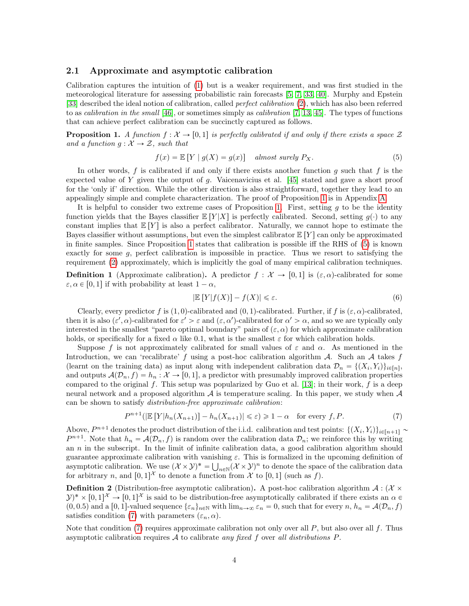#### <span id="page-3-0"></span>2.1 Approximate and asymptotic calibration

Calibration captures the intuition of [\(1\)](#page-2-2) but is a weaker requirement, and was first studied in the meteorological literature for assessing probabilistic rain forecasts [\[5,](#page-14-1) [7,](#page-14-2) [33,](#page-15-0) [40\]](#page-16-2). Murphy and Epstein [\[33\]](#page-15-0) described the ideal notion of calibration, called *perfect calibration* [\(2\)](#page-2-3), which has also been referred to as *calibration in the small* [\[46\]](#page-16-3), or sometimes simply as *calibration* [\[7,](#page-14-2) [13,](#page-14-3) [45\]](#page-16-4). The types of functions that can achieve perfect calibration can be succinctly captured as follows.

<span id="page-3-1"></span>**Proposition 1.** A function  $f : \mathcal{X} \to [0, 1]$  is perfectly calibrated if and only if there exists a space  $\mathcal{Z}$ and a function  $g: \mathcal{X} \to \mathcal{Z}$ , such that

<span id="page-3-2"></span>
$$
f(x) = \mathbb{E}[Y | g(X) = g(x)] \quad almost \ surely \ P_X. \tag{5}
$$

In other words, f is calibrated if and only if there exists another function  $g$  such that  $f$  is the expected value of Y given the output of g. Vaicenavicius et al.  $[45]$  stated and gave a short proof for the 'only if' direction. While the other direction is also straightforward, together they lead to an appealingly simple and complete characterization. The proof of Proposition [1](#page-3-1) is in Appendix [A.](#page-17-0)

It is helpful to consider two extreme cases of Proposition [1.](#page-3-1) First, setting  $g$  to be the identity function yields that the Bayes classifier  $\mathbb{E}[Y|X]$  is perfectly calibrated. Second, setting  $g(\cdot)$  to any constant implies that  $E[Y]$  is also a perfect calibrator. Naturally, we cannot hope to estimate the Bayes classifier without assumptions, but even the simplest calibrator  $\mathbb{E}[Y]$  can only be approximated in finite samples. Since Proposition [1](#page-3-1) states that calibration is possible iff the RHS of [\(5\)](#page-3-2) is known exactly for some  $g$ , perfect calibration is impossible in practice. Thus we resort to satisfying the requirement [\(2\)](#page-2-3) approximately, which is implicitly the goal of many empirical calibration techniques.

<span id="page-3-4"></span>**Definition 1** (Approximate calibration). A predictor  $f : \mathcal{X} \to [0, 1]$  is  $(\varepsilon, \alpha)$ -calibrated for some  $\varepsilon, \alpha \in [0, 1]$  if with probability at least  $1 - \alpha$ ,

$$
|\mathbb{E}\left[Y|f(X)\right] - f(X)| \leq \varepsilon. \tag{6}
$$

Clearly, every predictor f is  $(1, 0)$ -calibrated and  $(0, 1)$ -calibrated. Further, if f is  $(\varepsilon, \alpha)$ -calibrated, then it is also  $(\varepsilon', \alpha)$ -calibrated for  $\varepsilon' > \varepsilon$  and  $(\varepsilon, \alpha')$ -calibrated for  $\alpha' > \alpha$ , and so we are typically only interested in the smallest "pareto optimal boundary" pairs of  $(\varepsilon, \alpha)$  for which approximate calibration holds, or specifically for a fixed  $\alpha$  like 0.1, what is the smallest  $\varepsilon$  for which calibration holds.

Suppose f is not approximately calibrated for small values of  $\varepsilon$  and  $\alpha$ . As mentioned in the Introduction, we can 'recalibrate' f using a post-hoc calibration algorithm  $\mathcal{A}$ . Such an  $\mathcal{A}$  takes f (learnt on the training data) as input along with independent calibration data  $\mathcal{D}_n = \{(X_i, Y_i)\}_{i \in [n]},$ and outputs  $\mathcal{A}(\mathcal{D}_n, f) = h_n : \mathcal{X} \to [0, 1],$  a predictor with presumably improved calibration properties compared to the original f. This setup was popularized by Guo et al. [\[13\]](#page-14-3); in their work, f is a deep neural network and a proposed algorithm  $\mathcal A$  is temperature scaling. In this paper, we study when  $\mathcal A$ can be shown to satisfy distribution-free approximate calibration:

<span id="page-3-3"></span>
$$
P^{n+1}(|\mathbb{E}[Y|h_n(X_{n+1})] - h_n(X_{n+1})| \leq \varepsilon) \geq 1 - \alpha \quad \text{for every } f, P. \tag{7}
$$

Above,  $P^{n+1}$  denotes the product distribution of the i.i.d. calibration and test points:  $\{(X_i, Y_i)\}_{i \in [n+1]}$  $P^{n+1}$ . Note that  $h_n = \mathcal{A}(\mathcal{D}_n, f)$  is random over the calibration data  $\mathcal{D}_n$ ; we reinforce this by writing an  $n$  in the subscript. In the limit of infinite calibration data, a good calibration algorithm should guarantee approximate calibration with vanishing  $\varepsilon$ . This is formalized in the upcoming definition of asymptotic calibration. We use  $(\mathcal{X} \times \mathcal{Y})^* = \bigcup_{n \in \mathbb{N}} (\mathcal{X} \times \mathcal{Y})^n$  to denote the space of the calibration data for arbitrary n, and  $[0, 1]^{\mathcal{X}}$  to denote a function from  $\mathcal{X}$  to  $[0, 1]$  (such as f).

<span id="page-3-5"></span>**Definition 2** (Distribution-free asymptotic calibration). A post-hoc calibration algorithm  $\mathcal{A}: (\mathcal{X} \times$  $(\mathcal{Y})^* \times [0,1]^{\mathcal{X}} \to [0,1]^{\mathcal{X}}$  is said to be distribution-free asymptotically calibrated if there exists an  $\alpha \in \mathcal{Y}$  $p(0, 0.5)$  and a [0, 1]-valued sequence  $\{\varepsilon_n\}_{n\in\mathbb{N}}$  with  $\lim_{n\to\infty} \varepsilon_n = 0$ , such that for every  $n, h_n = A(\mathcal{D}_n, f)$ satisfies condition [\(7\)](#page-3-3) with parameters  $(\varepsilon_n, \alpha)$ .

Note that condition [\(7\)](#page-3-3) requires approximate calibration not only over all P, but also over all f. Thus asymptotic calibration requires  $A$  to calibrate any fixed f over all distributions  $P$ .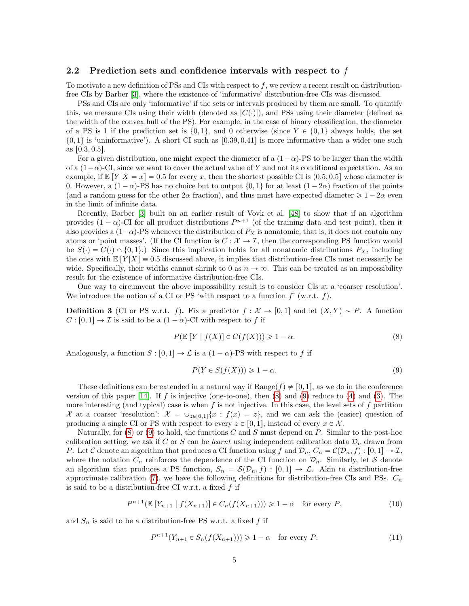### <span id="page-4-0"></span>2.2 Prediction sets and confidence intervals with respect to  $f$

To motivate a new definition of PSs and CIs with respect to  $f$ , we review a recent result on distributionfree CIs by Barber [\[3\]](#page-14-0), where the existence of 'informative' distribution-free CIs was discussed.

PSs and CIs are only 'informative' if the sets or intervals produced by them are small. To quantify this, we measure CIs using their width (denoted as  $|C(\cdot)|$ ), and PSs using their diameter (defined as the width of the convex hull of the PS). For example, in the case of binary classification, the diameter of a PS is 1 if the prediction set is  $\{0, 1\}$ , and 0 otherwise (since  $Y \in \{0, 1\}$  always holds, the set  $\{0, 1\}$  is 'uninformative'). A short CI such as [0.39, 0.41] is more informative than a wider one such as  $[0.3, 0.5]$ .

For a given distribution, one might expect the diameter of a  $(1-\alpha)$ -PS to be larger than the width of a  $(1-\alpha)$ -CI, since we want to cover the actual value of Y and not its conditional expectation. As an example, if  $\mathbb{E}[Y|X=x] = 0.5$  for every x, then the shortest possible CI is  $(0.5, 0.5)$  whose diameter is 0. However, a  $(1 - \alpha)$ -PS has no choice but to output  $\{0, 1\}$  for at least  $(1 - 2\alpha)$  fraction of the points (and a random guess for the other  $2\alpha$  fraction), and thus must have expected diameter  $\geq 1 - 2\alpha$  even in the limit of infinite data.

Recently, Barber [\[3\]](#page-14-0) built on an earlier result of Vovk et al. [\[48\]](#page-16-0) to show that if an algorithm provides  $(1 - \alpha)$ -CI for all product distributions  $P^{n+1}$  (of the training data and test point), then it also provides a  $(1-\alpha)$ -PS whenever the distribution of  $P_X$  is nonatomic, that is, it does not contain any atoms or 'point masses'. (If the CI function is  $C : \mathcal{X} \to \mathcal{I}$ , then the corresponding PS function would be  $S(\cdot) = C(\cdot) \cap \{0, 1\}$ .) Since this implication holds for all nonatomic distributions  $P_X$ , including the ones with  $\mathbb{E}[Y|X] = 0.5$  discussed above, it implies that distribution-free CIs must necessarily be wide. Specifically, their widths cannot shrink to 0 as  $n \to \infty$ . This can be treated as an impossibility result for the existence of informative distribution-free CIs.

One way to circumvent the above impossibility result is to consider CIs at a 'coarser resolution'. We introduce the notion of a CI or PS 'with respect to a function  $f'$  (w.r.t. f).

<span id="page-4-5"></span>**Definition 3** (CI or PS w.r.t. f). Fix a predictor  $f : \mathcal{X} \to [0, 1]$  and let  $(X, Y) \sim P$ . A function  $C : [0, 1] \rightarrow \mathcal{I}$  is said to be a  $(1 - \alpha)$ -CI with respect to f if

<span id="page-4-1"></span>
$$
P(\mathbb{E}\left[Y \mid f(X)\right] \in C(f(X))) \geq 1 - \alpha. \tag{8}
$$

Analogously, a function  $S : [0, 1] \to \mathcal{L}$  is a  $(1 - \alpha)$ -PS with respect to f if

<span id="page-4-2"></span>
$$
P(Y \in S(f(X))) \geq 1 - \alpha.
$$
\n<sup>(9)</sup>

These definitions can be extended in a natural way if  $\text{Range}(f) \neq [0, 1]$ , as we do in the conference version of this paper  $[14]$ . If f is injective (one-to-one), then  $(8)$  and  $(9)$  reduce to  $(4)$  and  $(3)$ . The more interesting (and typical) case is when f is not injective. In this case, the level sets of f partition X at a coarser 'resolution':  $\mathcal{X} = \cup_{z\in[0,1]} \{x : f(x) = z\}$ , and we can ask the (easier) question of producing a single CI or PS with respect to every  $z \in [0, 1]$ , instead of every  $x \in \mathcal{X}$ .

Naturally, for  $(8)$  or  $(9)$  to hold, the functions C and S must depend on P. Similar to the post-hoc calibration setting, we ask if C or S can be learnt using independent calibration data  $\mathcal{D}_n$  drawn from P. Let C denote an algorithm that produces a CI function using f and  $\mathcal{D}_n$ ,  $C_n = \mathcal{C}(\mathcal{D}_n, f) : [0, 1] \to \mathcal{I}$ , where the notation  $C_n$  reinforces the dependence of the CI function on  $\mathcal{D}_n$ . Similarly, let S denote an algorithm that produces a PS function,  $S_n = \mathcal{S}(\mathcal{D}_n, f) : [0, 1] \to \mathcal{L}$ . Akin to distribution-free approximate calibration [\(7\)](#page-3-3), we have the following definitions for distribution-free CIs and PSs.  $C_n$ is said to be a distribution-free CI w.r.t. a fixed  $f$  if

<span id="page-4-3"></span>
$$
P^{n+1}(\mathbb{E}\left[Y_{n+1} \mid f(X_{n+1})\right] \in C_n(f(X_{n+1}))) \geq 1 - \alpha \quad \text{for every } P,\tag{10}
$$

and  $S_n$  is said to be a distribution-free PS w.r.t. a fixed f if

<span id="page-4-4"></span>
$$
P^{n+1}(Y_{n+1} \in S_n(f(X_{n+1}))) \geq 1 - \alpha \quad \text{for every } P. \tag{11}
$$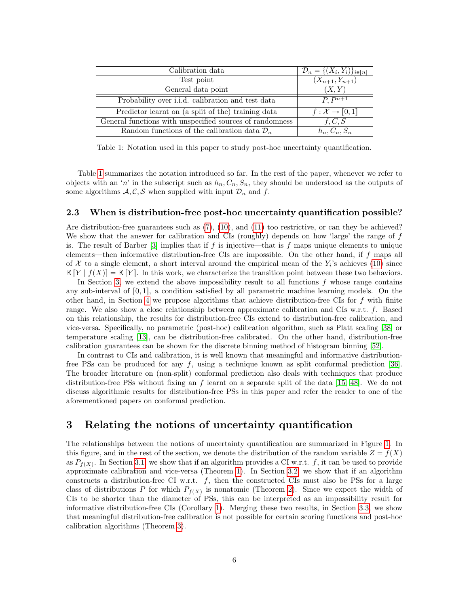<span id="page-5-2"></span>

| Calibration data                                                      | $\mathcal{D}_n = \{(X_i, Y_i)\}_{i \in [n]}$ |
|-----------------------------------------------------------------------|----------------------------------------------|
| Test point                                                            | $(X_{n+1}, Y_{n+1})$                         |
| General data point                                                    | (X, Y)                                       |
| Probability over i.i.d. calibration and test data                     | $\overline{P}$ . $P^{n+1}$                   |
| Predictor learnt on (a split of the) training data                    | $f: \mathcal{X} \rightarrow [0,1]$           |
| General functions with unspecified sources $\overline{of}$ randomness | f, C, S                                      |
| Random functions of the calibration data $\mathcal{D}_n$              | $h_n, C_n, S_n$                              |

Table 1: Notation used in this paper to study post-hoc uncertainty quantification.

Table [1](#page-5-2) summarizes the notation introduced so far. In the rest of the paper, whenever we refer to objects with an 'n' in the subscript such as  $h_n, C_n, S_n$ , they should be understood as the outputs of some algorithms  $A, C, S$  when supplied with input  $\mathcal{D}_n$  and f.

#### <span id="page-5-0"></span>2.3 When is distribution-free post-hoc uncertainty quantification possible?

Are distribution-free guarantees such as [\(7\)](#page-3-3), [\(10\)](#page-4-3), and [\(11\)](#page-4-4) too restrictive, or can they be achieved? We show that the answer for calibration and CIs (roughly) depends on how 'large' the range of  $f$ is. The result of Barber [\[3\]](#page-14-0) implies that if f is injective—that is f maps unique elements to unique elements—then informative distribution-free CIs are impossible. On the other hand, if f maps all of X to a single element, a short interval around the empirical mean of the  $Y_i$ 's achieves [\(10\)](#page-4-3) since  $\mathbb{E}[Y | f(X)] = \mathbb{E}[Y]$ . In this work, we characterize the transition point between these two behaviors.

In Section [3,](#page-5-1) we extend the above impossibility result to all functions  $f$  whose range contains any sub-interval of  $[0, 1]$ , a condition satisfied by all parametric machine learning models. On the other hand, in Section [4](#page-8-0) we propose algorithms that achieve distribution-free CIs for  $f$  with finite range. We also show a close relationship between approximate calibration and CIs w.r.t. f. Based on this relationship, the results for distribution-free CIs extend to distribution-free calibration, and vice-versa. Specifically, no parametric (post-hoc) calibration algorithm, such as Platt scaling [\[38\]](#page-15-1) or temperature scaling [\[13\]](#page-14-3), can be distribution-free calibrated. On the other hand, distribution-free calibration guarantees can be shown for the discrete binning method of histogram binning [\[52\]](#page-16-1).

In contrast to CIs and calibration, it is well known that meaningful and informative distribution-free PSs can be produced for any f, using a technique known as split conformal prediction [\[36\]](#page-15-2). The broader literature on (non-split) conformal prediction also deals with techniques that produce distribution-free PSs without fixing an f learnt on a separate split of the data [\[15,](#page-14-5) [48\]](#page-16-0). We do not discuss algorithmic results for distribution-free PSs in this paper and refer the reader to one of the aforementioned papers on conformal prediction.

### <span id="page-5-1"></span>3 Relating the notions of uncertainty quantification

The relationships between the notions of uncertainty quantification are summarized in Figure [1.](#page-6-3) In this figure, and in the rest of the section, we denote the distribution of the random variable  $Z = f(X)$ as  $P_{f(X)}$ . In Section [3.1,](#page-6-0) we show that if an algorithm provides a CI w.r.t. f, it can be used to provide approximate calibration and vice-versa (Theorem [1\)](#page-6-2). In Section [3.2,](#page-6-1) we show that if an algorithm constructs a distribution-free CI w.r.t.  $f$ , then the constructed CIs must also be PSs for a large class of distributions P for which  $P_{f(X)}$  is nonatomic (Theorem [2\)](#page-7-1). Since we expect the width of CIs to be shorter than the diameter of PSs, this can be interpreted as an impossibility result for informative distribution-free CIs (Corollary [1\)](#page-7-2). Merging these two results, in Section [3.3,](#page-7-0) we show that meaningful distribution-free calibration is not possible for certain scoring functions and post-hoc calibration algorithms (Theorem [3\)](#page-8-2).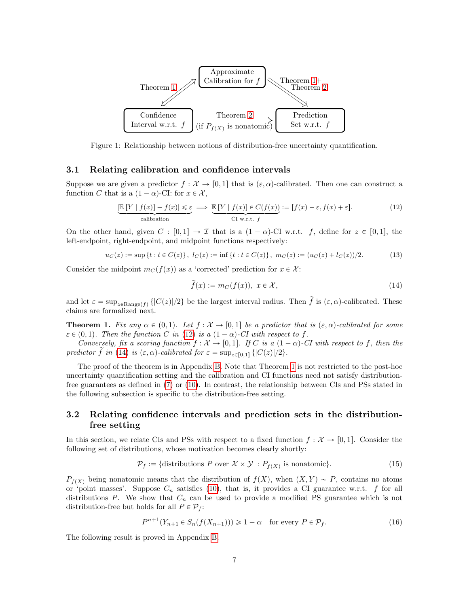<span id="page-6-3"></span>

Figure 1: Relationship between notions of distribution-free uncertainty quantification.

#### <span id="page-6-0"></span>3.1 Relating calibration and confidence intervals

Suppose we are given a predictor  $f : \mathcal{X} \to [0, 1]$  that is  $(\varepsilon, \alpha)$ -calibrated. Then one can construct a function C that is a  $(1 - \alpha)$ -CI: for  $x \in \mathcal{X}$ ,

<span id="page-6-4"></span>
$$
\underbrace{\left|\mathbb{E}\left[Y\mid f(x)\right] - f(x)\right| \leq \varepsilon}_{\text{calibration}} \implies \underbrace{\mathbb{E}\left[Y\mid f(x)\right] \in C(f(x))}_{\text{CI w.r.t. } f} := [f(x) - \varepsilon, f(x) + \varepsilon].
$$
\n(12)

On the other hand, given  $C : [0, 1] \to \mathcal{I}$  that is a  $(1 - \alpha)$ -CI w.r.t. f, define for  $z \in [0, 1]$ , the left-endpoint, right-endpoint, and midpoint functions respectively:

$$
u_C(z) := \sup\{t : t \in C(z)\}, \ l_C(z) := \inf\{t : t \in C(z)\}, \ m_C(z) := (u_C(z) + l_C(z))/2. \tag{13}
$$

Consider the midpoint  $m_C(f(x))$  as a 'corrected' prediction for  $x \in \mathcal{X}$ :

<span id="page-6-5"></span>
$$
\widetilde{f}(x) := m_C(f(x)), \ x \in \mathcal{X},\tag{14}
$$

and let  $\varepsilon = \sup_{z \in \text{Range}(f)} \{|C(z)|/2\}$  be the largest interval radius. Then  $\tilde{f}$  is  $(\varepsilon, \alpha)$ -calibrated. These claims are formalized next.

<span id="page-6-2"></span>**Theorem 1.** Fix any  $\alpha \in (0, 1)$ . Let  $f : \mathcal{X} \to [0, 1]$  be a predictor that is  $(\varepsilon, \alpha)$ -calibrated for some  $\varepsilon \in (0, 1)$ . Then the function C in [\(12\)](#page-6-4) is a  $(1 - \alpha)$ -CI with respect to f.

Conversely, fix a scoring function  $f: \mathcal{X} \to [0, 1]$ . If C is a  $(1 - \alpha)$ -CI with respect to f, then the predictor  $\tilde{f}$  in [\(14\)](#page-6-5) is  $(\varepsilon, \alpha)$ -calibrated for  $\varepsilon = \sup_{z \in [0,1]} \{|C(z)|/2\}.$ 

The proof of the theorem is in Appendix [B.](#page-17-1) Note that Theorem [1](#page-6-2) is not restricted to the post-hoc uncertainty quantification setting and the calibration and CI functions need not satisfy distributionfree guarantees as defined in [\(7\)](#page-3-3) or [\(10\)](#page-4-3). In contrast, the relationship between CIs and PSs stated in the following subsection is specific to the distribution-free setting.

### <span id="page-6-1"></span>3.2 Relating confidence intervals and prediction sets in the distributionfree setting

In this section, we relate CIs and PSs with respect to a fixed function  $f : \mathcal{X} \to [0, 1]$ . Consider the following set of distributions, whose motivation becomes clearly shortly:

$$
\mathcal{P}_f := \{ \text{distributions } P \text{ over } \mathcal{X} \times \mathcal{Y} : P_{f(X)} \text{ is nonatomic} \}. \tag{15}
$$

 $P_{f(X)}$  being nonatomic means that the distribution of  $f(X)$ , when  $(X, Y) \sim P$ , contains no atoms or 'point masses'. Suppose  $C_n$  satisfies [\(10\)](#page-4-3), that is, it provides a CI guarantee w.r.t. f for all distributions P. We show that  $C_n$  can be used to provide a modified PS guarantee which is not distribution-free but holds for all  $P \in \mathcal{P}_f$ :

<span id="page-6-6"></span>
$$
P^{n+1}(Y_{n+1} \in S_n(f(X_{n+1}))) \ge 1 - \alpha \quad \text{for every } P \in \mathcal{P}_f.
$$
 (16)

The following result is proved in Appendix [B.](#page-17-1)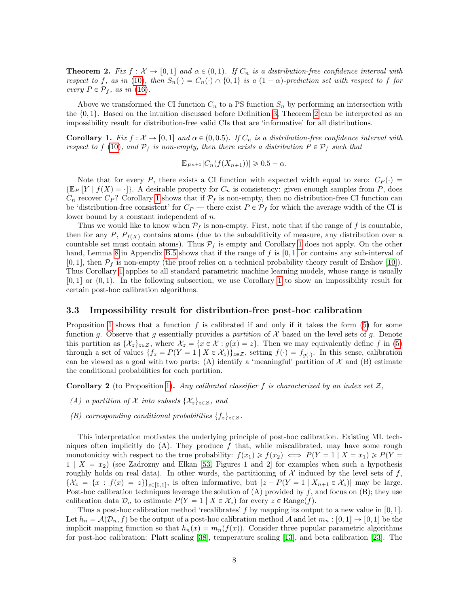<span id="page-7-1"></span>**Theorem 2.** Fix  $f : \mathcal{X} \to [0, 1]$  and  $\alpha \in (0, 1)$ . If  $C_n$  is a distribution-free confidence interval with respect to f, as in [\(10\)](#page-4-3), then  $S_n(\cdot) = C_n(\cdot) \cap \{0,1\}$  is a  $(1-\alpha)$ -prediction set with respect to f for every  $P \in \mathcal{P}_f$ , as in [\(16\)](#page-6-6).

Above we transformed the CI function  $C_n$  to a PS function  $S_n$  by performing an intersection with the  $\{0, 1\}$ . Based on the intuition discussed before Definition [3,](#page-4-5) Theorem [2](#page-7-1) can be interpreted as an impossibility result for distribution-free valid CIs that are 'informative' for all distributions.

<span id="page-7-2"></span>**Corollary 1.** Fix  $f : \mathcal{X} \to [0, 1]$  and  $\alpha \in (0, 0.5)$ . If  $C_n$  is a distribution-free confidence interval with respect to f [\(10\)](#page-4-3), and  $\mathcal{P}_f$  is non-empty, then there exists a distribution  $P \in \mathcal{P}_f$  such that

$$
\mathbb{E}_{P^{n+1}}|C_n(f(X_{n+1}))| \geq 0.5 - \alpha.
$$

Note that for every P, there exists a CI function with expected width equal to zero:  $C_P(\cdot)$  =  $\{\mathbb{E}_P[Y \mid f(X) = \cdot\}$ . A desirable property for  $C_n$  is consistency: given enough samples from P, does  $C_n$  recover  $C_P$ ? Corollary [1](#page-7-2) shows that if  $\mathcal{P}_f$  is non-empty, then no distribution-free CI function can be 'distribution-free consistent' for  $C_P$  — there exist  $P \in \mathcal{P}_f$  for which the average width of the CI is lower bound by a constant independent of n.

Thus we would like to know when  $P_f$  is non-empty. First, note that if the range of f is countable, then for any P,  $P_{f(X)}$  contains atoms (due to the subadditivity of measure, any distribution over a countable set must contain atoms). Thus  $\mathcal{P}_f$  is empty and Corollary [1](#page-7-2) does not apply. On the other hand, Lemma [8](#page-21-1) in Appendix [B.5](#page-21-0) shows that if the range of f is  $[0, 1]$  or contains any sub-interval of  $[0, 1]$ , then  $\mathcal{P}_f$  is non-empty (the proof relies on a technical probability theory result of Ershov [\[10\]](#page-14-6)). Thus Corollary [1](#page-7-2) applies to all standard parametric machine learning models, whose range is usually  $[0, 1]$  $[0, 1]$  $[0, 1]$  or  $(0, 1)$ . In the following subsection, we use Corollary 1 to show an impossibility result for certain post-hoc calibration algorithms.

#### <span id="page-7-0"></span>3.3 Impossibility result for distribution-free post-hoc calibration

Proposition [1](#page-3-1) shows that a function f is calibrated if and only if it takes the form  $(5)$  for some function g. Observe that g essentially provides a partition of  $\mathcal X$  based on the level sets of g. Denote this partition as  $\{\mathcal{X}_z\}_{z\in\mathcal{Z}}$ , where  $\mathcal{X}_z = \{x \in \mathcal{X} : g(x) = z\}$ . Then we may equivalently define f in [\(5\)](#page-3-2) through a set of values  $\{f_z = P(Y = 1 \mid X \in \mathcal{X}_z)\}_{z \in \mathcal{Z}}$ , setting  $f(\cdot) = f_{g(\cdot)}$ . In this sense, calibration can be viewed as a goal with two parts: (A) identify a 'meaningful' partition of  $\mathcal X$  and (B) estimate the conditional probabilities for each partition.

**Corollary 2** (to Proposition [1\)](#page-3-1). Any calibrated classifier f is characterized by an index set  $\mathcal{Z}$ ,

- (A) a partition of X into subsets  $\{\mathcal{X}_z\}_{z\in\mathcal{Z}}$ , and
- (B) corresponding conditional probabilities  $\{f_z\}_{z\in\mathcal{Z}}$ .

This interpretation motivates the underlying principle of post-hoc calibration. Existing ML techniques often implicitly do  $(A)$ . They produce f that, while miscalibrated, may have some rough monotonicity with respect to the true probability:  $f(x_1) \ge f(x_2) \iff P(Y = 1 | X = x_1) \ge P(Y = 1)$  $1 \mid X = x_2$  (see Zadrozny and Elkan [\[53,](#page-16-5) Figures 1 and 2] for examples when such a hypothesis roughly holds on real data). In other words, the partitioning of  $\mathcal X$  induced by the level sets of f,  $\{\mathcal{X}_z = \{x : f(x) = z\}\}_{z \in [0,1]},$  is often informative, but  $|z - P(Y = 1 | X_{n+1} \in \mathcal{X}_z)|$  may be large. Post-hoc calibration techniques leverage the solution of  $(A)$  provided by f, and focus on  $(B)$ ; they use calibration data  $\mathcal{D}_n$  to estimate  $P(Y = 1 | X \in \mathcal{X}_z)$  for every  $z \in \text{Range}(f)$ .

Thus a post-hoc calibration method 'recalibrates' f by mapping its output to a new value in [0, 1]. Let  $h_n = \mathcal{A}(\mathcal{D}_n, f)$  be the output of a post-hoc calibration method A and let  $m_n : [0, 1] \to [0, 1]$  be the implicit mapping function so that  $h_n(x) = m_n(f(x))$ . Consider three popular parametric algorithms for post-hoc calibration: Platt scaling [\[38\]](#page-15-1), temperature scaling [\[13\]](#page-14-3), and beta calibration [\[23\]](#page-15-3). The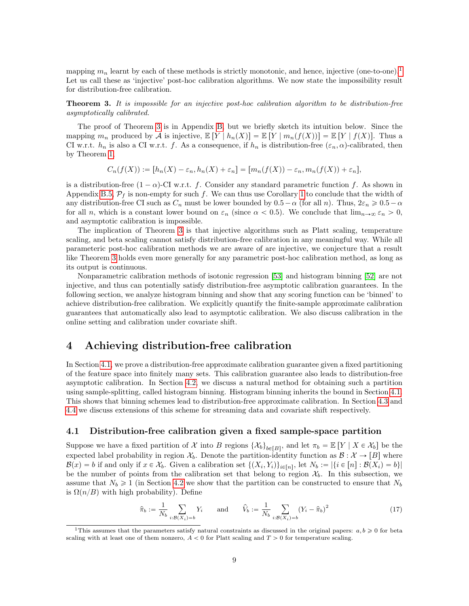mapping  $m_n$  learnt by each of these methods is strictly monotonic, and hence, injective (one-to-one).<sup>[1](#page-8-3)</sup> Let us call these as 'injective' post-hoc calibration algorithms. We now state the impossibility result for distribution-free calibration.

<span id="page-8-2"></span>**Theorem 3.** It is impossible for an injective post-hoc calibration algorithm to be distribution-free asymptotically calibrated.

The proof of Theorem [3](#page-8-2) is in Appendix [B,](#page-17-1) but we briefly sketch its intuition below. Since the mapping  $m_n$  produced by A is injective,  $\mathbb{E}[Y \mid h_n(X)] = \mathbb{E}[Y \mid m_n(f(X))] = \mathbb{E}[Y \mid f(X)]$ . Thus a CI w.r.t.  $h_n$  is also a CI w.r.t. f. As a consequence, if  $h_n$  is distribution-free  $(\varepsilon_n, \alpha)$ -calibrated, then by Theorem [1,](#page-6-2)

$$
C_n(f(X)) := [h_n(X) - \varepsilon_n, h_n(X) + \varepsilon_n] = [m_n(f(X)) - \varepsilon_n, m_n(f(X)) + \varepsilon_n],
$$

is a distribution-free  $(1 - \alpha)$ -CI w.r.t. f. Consider any standard parametric function f. As shown in Appendix [B.5,](#page-21-0)  $\mathcal{P}_f$  is non-empty for such f. We can thus use Corollary [1](#page-7-2) to conclude that the width of any distribution-free CI such as  $C_n$  must be lower bounded by  $0.5-\alpha$  (for all n). Thus,  $2\varepsilon_n \geq 0.5-\alpha$ for all n, which is a constant lower bound on  $\varepsilon_n$  (since  $\alpha < 0.5$ ). We conclude that  $\lim_{n\to\infty} \varepsilon_n > 0$ , and asymptotic calibration is impossible.

The implication of Theorem [3](#page-8-2) is that injective algorithms such as Platt scaling, temperature scaling, and beta scaling cannot satisfy distribution-free calibration in any meaningful way. While all parameteric post-hoc calibration methods we are aware of are injective, we conjecture that a result like Theorem [3](#page-8-2) holds even more generally for any parametric post-hoc calibration method, as long as its output is continuous.

Nonparametric calibration methods of isotonic regression [\[53\]](#page-16-5) and histogram binning [\[52\]](#page-16-1) are not injective, and thus can potentially satisfy distribution-free asymptotic calibration guarantees. In the following section, we analyze histogram binning and show that any scoring function can be 'binned' to achieve distribution-free calibration. We explicitly quantify the finite-sample approximate calibration guarantees that automatically also lead to asymptotic calibration. We also discuss calibration in the online setting and calibration under covariate shift.

### <span id="page-8-0"></span>4 Achieving distribution-free calibration

In Section [4.1,](#page-8-1) we prove a distribution-free approximate calibration guarantee given a fixed partitioning of the feature space into finitely many sets. This calibration guarantee also leads to distribution-free asymptotic calibration. In Section [4.2,](#page-9-0) we discuss a natural method for obtaining such a partition using sample-splitting, called histogram binning. Histogram binning inherits the bound in Section [4.1.](#page-8-1) This shows that binning schemes lead to distribution-free approximate calibration. In Section [4.3](#page-10-0) and [4.4](#page-11-0) we discuss extensions of this scheme for streaming data and covariate shift respectively.

### <span id="page-8-1"></span>4.1 Distribution-free calibration given a fixed sample-space partition

Suppose we have a fixed partition of X into B regions  $\{\mathcal{X}_b\}_{b \in [B]}$ , and let  $\pi_b = \mathbb{E}[Y \mid X \in \mathcal{X}_b]$  be the expected label probability in region  $\mathcal{X}_b$ . Denote the partition-identity function as  $\mathcal{B}: \mathcal{X} \to [B]$  where  $\mathcal{B}(x) = b$  if and only if  $x \in \mathcal{X}_b$ . Given a calibration set  $\{(X_i, Y_i)\}_{i \in [n]}$ , let  $N_b := |\{i \in [n] : \mathcal{B}(X_i) = b\}|$ be the number of points from the calibration set that belong to region  $\mathcal{X}_b$ . In this subsection, we assume that  $N_b \ge 1$  (in Section [4.2](#page-9-0) we show that the partition can be constructed to ensure that  $N_b$ is  $\Omega(n/B)$  with high probability). Define

<span id="page-8-4"></span>
$$
\hat{\pi}_b := \frac{1}{N_b} \sum_{i: B(X_i) = b} Y_i \quad \text{and} \quad \hat{V}_b := \frac{1}{N_b} \sum_{i: B(X_i) = b} (Y_i - \hat{\pi}_b)^2 \tag{17}
$$

<span id="page-8-3"></span><sup>&</sup>lt;sup>1</sup>This assumes that the parameters satisfy natural constraints as discussed in the original papers:  $a, b \geq 0$  for beta scaling with at least one of them nonzero,  $A < 0$  for Platt scaling and  $T > 0$  for temperature scaling.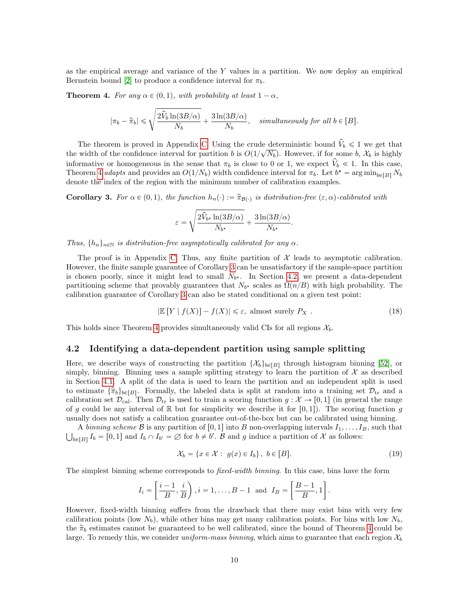as the empirical average and variance of the Y values in a partition. We now deploy an empirical Bernstein bound [\[2\]](#page-13-1) to produce a confidence interval for  $\pi_b$ .

<span id="page-9-1"></span>**Theorem 4.** For any  $\alpha \in (0, 1)$ , with probability at least  $1 - \alpha$ ,

$$
|\pi_b - \hat{\pi}_b| \leqslant \sqrt{\frac{2\hat{V}_b\ln(3B/\alpha)}{N_b} + \frac{3\ln(3B/\alpha)}{N_b}}, \quad simultaneously \; for \; all \; b \in [B].
$$

The theorem is proved in Appendix [C.](#page-22-0) Using the crude deterministic bound  $\hat{V}_b \leq 1$  we get that the width of the confidence interval for partition b is  $O(1/\sqrt{N_b})$ . However, if for some b,  $\mathcal{X}_b$  is highly informative or homogeneous in the sense that  $\pi_b$  is close to 0 or 1, we expect  $V_b \ll 1$ . In this case, Theorem [4](#page-9-1) adapts and provides an  $O(1/N_b)$  width confidence interval for  $\pi_b$ . Let  $b^* = \arg \min_{b \in [B]} N_b$ denote the index of the region with the minimum number of calibration examples.

<span id="page-9-2"></span>**Corollary 3.** For  $\alpha \in (0, 1)$ , the function  $h_n(\cdot) := \hat{\pi}_{\mathcal{B}(\cdot)}$  is distribution-free  $(\varepsilon, \alpha)$ -calibrated with

$$
\varepsilon = \sqrt{\frac{2\hat{V}_{b^{\star}}\ln(3B/\alpha)}{N_{b^{\star}}} + \frac{3\ln(3B/\alpha)}{N_{b^{\star}}}}
$$

Thus,  $\{h_n\}_{n\in\mathbb{N}}$  is distribution-free asymptotically calibrated for any  $\alpha$ .

The proof is in Appendix [C.](#page-22-0) Thus, any finite partition of  $\mathcal X$  leads to asymptotic calibration. However, the finite sample guarantee of Corollary [3](#page-9-2) can be unsatisfactory if the sample-space partition is chosen poorly, since it might lead to small  $N_{b^*}$ . In Section [4.2,](#page-9-0) we present a data-dependent partitioning scheme that provably guarantees that  $N_{b^*}$  scales as  $\Omega(n/B)$  with high probability. The calibration guarantee of Corollary [3](#page-9-2) can also be stated conditional on a given test point:

<span id="page-9-4"></span>
$$
|\mathbb{E}[Y | f(X)] - f(X)| \le \varepsilon, \text{ almost surely } P_X . \tag{18}
$$

.

This holds since Theorem [4](#page-9-1) provides simultaneously valid CIs for all regions  $\mathcal{X}_b$ .

#### <span id="page-9-0"></span>4.2 Identifying a data-dependent partition using sample splitting

Here, we describe ways of constructing the partition  $\{\mathcal{X}_b\}_{b \in [B]}$  through histogram binning [\[52\]](#page-16-1), or simply, binning. Binning uses a sample splitting strategy to learn the partition of  $\mathcal X$  as described in Section [4.1.](#page-8-1) A split of the data is used to learn the partition and an independent split is used to estimate  $\{\hat{\pi}_b\}_{b \in [B]}$ . Formally, the labeled data is split at random into a training set  $\mathcal{D}_{tr}$  and a calibration set  $\mathcal{D}_{\text{cal}}$ . Then  $\mathcal{D}_{\text{tr}}$  is used to train a scoring function  $g: \mathcal{X} \to [0, 1]$  (in general the range of g could be any interval of R but for simplicity we describe it for  $[0, 1]$ . The scoring function g usually does not satisfy a calibration guarantee out-of-the-box but can be calibrated using binning.

A binning scheme B is any partition of [0, 1] into B non-overlapping intervals  $I_1, \ldots, I_B$ , such that  $b \in [B]$   $I_b = [0, 1]$  and  $I_b \cap I_{b'} = \emptyset$  for  $b \neq b'$ .  $\emptyset$  and g induce a partition of X as follows:

<span id="page-9-3"></span>
$$
\mathcal{X}_b = \{ x \in \mathcal{X} : g(x) \in I_b \}, \ b \in [B]. \tag{19}
$$

The simplest binning scheme corresponds to *fixed-width binning*. In this case, bins have the form

$$
I_i = \left[\frac{i-1}{B}, \frac{i}{B}\right), i = 1, \dots, B-1 \text{ and } I_B = \left[\frac{B-1}{B}, 1\right].
$$

However, fixed-width binning suffers from the drawback that there may exist bins with very few calibration points (low  $N_b$ ), while other bins may get many calibration points. For bins with low  $N_b$ , the  $\hat{\pi}_b$  estimates cannot be guaranteed to be well calibrated, since the bound of Theorem [4](#page-9-1) could be large. To remedy this, we consider uniform-mass binning, which aims to guarantee that each region  $\mathcal{X}_b$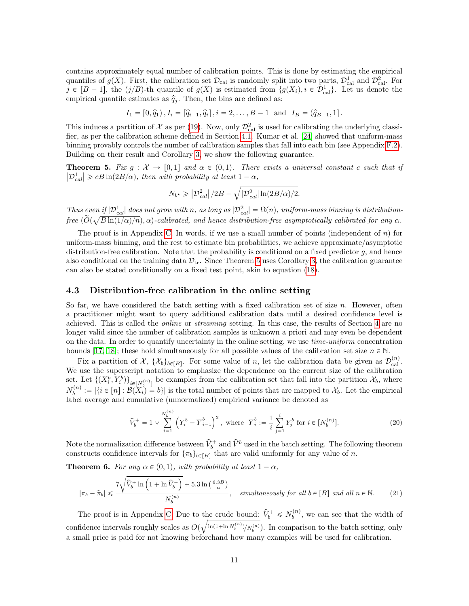contains approximately equal number of calibration points. This is done by estimating the empirical quantiles of  $g(X)$ . First, the calibration set  $\mathcal{D}_{\text{cal}}$  is randomly split into two parts,  $\mathcal{D}_{\text{cal}}^1$  and  $\mathcal{D}_{\text{cal}}^2$ . For  $j \in [B-1]$ , the  $(j/B)$ -th quantile of  $g(X)$  is estimated from  $\{g(X_i), i \in \mathcal{D}_{\text{cal}}^1\}$ . Let us denote the empirical quantile estimates as  $\hat{q}_i$ . Then, the bins are defined as:

$$
I_1 = [0, \hat{q}_1), I_i = [\hat{q}_{i-1}, \hat{q}_i], i = 2, ..., B - 1
$$
 and  $I_B = (\hat{q}_{B-1}, 1].$ 

This induces a partition of X as per [\(19\)](#page-9-3). Now, only  $\mathcal{D}_{\text{cal}}^2$  is used for calibrating the underlying classifier, as per the calibration scheme defined in Section [4.1.](#page-8-1) Kumar et al. [\[24\]](#page-15-4) showed that uniform-mass binning provably controls the number of calibration samples that fall into each bin (see Appendix [F.2\)](#page-33-2). Building on their result and Corollary [3,](#page-9-2) we show the following guarantee.

<span id="page-10-1"></span>**Theorem 5.** Fix  $g: \mathcal{X} \to [0, 1]$  and  $\alpha \in (0, 1)$ . There exists a universal constant c such that if  $|\mathcal{D}_{cal}^{1}| \geq cB \ln(2B/\alpha)$ , then with probability at least  $1-\alpha$ ,

$$
N_{b^*} \geqslant \left| \mathcal{D}_{cal}^2 \right| / 2B - \sqrt{|\mathcal{D}_{cal}^2| \ln(2B/\alpha) / 2}.
$$

Thus even if  $|\mathcal{D}_{cal}^1|$  does not grow with n, as long as  $|\mathcal{D}_{cal}^2| = \Omega(n)$ , uniform-mass binning is distributionfree  $(\widetilde{O}(\sqrt{B\ln(1/\alpha)/n}), \alpha)$ -calibrated, and hence distribution-free asymptotically calibrated for any  $\alpha$ .

The proof is in Appendix [C.](#page-22-0) In words, if we use a small number of points (independent of  $n$ ) for uniform-mass binning, and the rest to estimate bin probabilities, we achieve approximate/asymptotic distribution-free calibration. Note that the probability is conditional on a fixed predictor  $g$ , and hence also conditional on the training data  $\mathcal{D}_{tr}$ . Since Theorem [5](#page-10-1) uses Corollary [3,](#page-9-2) the calibration guarantee can also be stated conditionally on a fixed test point, akin to equation [\(18\)](#page-9-4).

#### <span id="page-10-0"></span>4.3 Distribution-free calibration in the online setting

So far, we have considered the batch setting with a fixed calibration set of size  $n$ . However, often a practitioner might want to query additional calibration data until a desired confidence level is achieved. This is called the online or streaming setting. In this case, the results of Section [4](#page-8-0) are no longer valid since the number of calibration samples is unknown a priori and may even be dependent on the data. In order to quantify uncertainty in the online setting, we use time-uniform concentration bounds [\[17,](#page-14-7) [18\]](#page-14-8); these hold simultaneously for all possible values of the calibration set size  $n \in \mathbb{N}$ .

Fix a partition of  $\mathcal{X}, \{\mathcal{X}_b\}_{b \in [B]}$ . For some value of n, let the calibration data be given as  $\mathcal{D}_{\text{cal}}^{(n)}$ . We use the superscript notation to emphasize the dependence on the current size of the calibration set. Let  $\{(X_i^b, Y_i^b)\}_{i \in [N_b^{(n)}]}$  be examples from the calibration set that fall into the partition  $\mathcal{X}_b$ , where  $N_b^{(n)} := |\{i \in [n]: \mathcal{B}(X_i) = b\}|$  is the total number of points that are mapped to  $\mathcal{X}_b$ . Let the empirical label average and cumulative (unnormalized) empirical variance be denoted as

$$
\hat{V}_b^+ = 1 \vee \sum_{i=1}^{N_b^{(n)}} \left( Y_i^b - \overline{Y}_{i-1}^b \right)^2, \text{ where } \overline{Y}_i^b := \frac{1}{i} \sum_{j=1}^i Y_j^b \text{ for } i \in [N_b^{(n)}]. \tag{20}
$$

Note the normalization difference between  $\hat{V}_b^+$  and  $\hat{V}^b$  used in the batch setting. The following theorem constructs confidence intervals for  $\{\pi_b\}_{b \in [B]}$  that are valid uniformly for any value of n.

<span id="page-10-2"></span>**Theorem 6.** For any  $\alpha \in (0, 1)$ , with probability at least  $1 - \alpha$ ,

$$
|\pi_b - \hat{\pi}_b| \leq \frac{7\sqrt{\hat{V}_b^+ \ln\left(1 + \ln \hat{V}_b^+\right)} + 5.3 \ln\left(\frac{6.3B}{\alpha}\right)}{N_b^{(n)}}, \quad simultaneously \text{ for all } b \in [B] \text{ and all } n \in \mathbb{N}.
$$
 (21)

The proof is in Appendix [C.](#page-22-0) Due to the crude bound:  $\hat{V}_b^+ \leq N_b^{(n)}$ , we can see that the width of confidence intervals roughly scales as  $O(\sqrt{\ln(1+\ln N_b^{(n)})/N_b^{(n)}})$ . In comparison to the batch setting, only a small price is paid for not knowing beforehand how many examples will be used for calibration.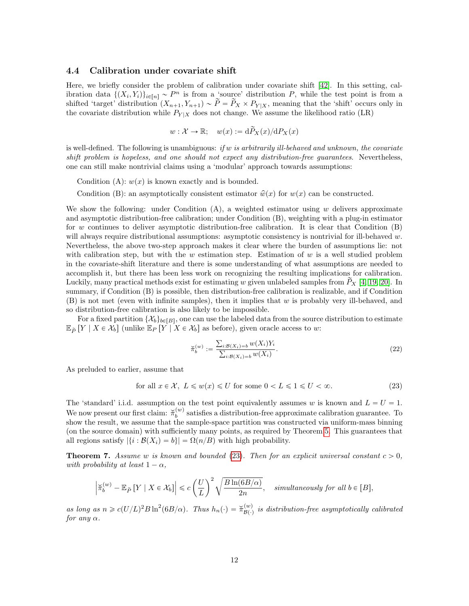#### <span id="page-11-0"></span>4.4 Calibration under covariate shift

Here, we briefly consider the problem of calibration under covariate shift [\[42\]](#page-16-6). In this setting, calibration data  $\{(X_i, Y_i)\}_{i \in [n]} \sim P^n$  is from a 'source' distribution P, while the test point is from a shifted 'target' distribution  $(X_{n+1}, Y_{n+1}) \sim \widetilde{P} = \widetilde{P}_X \times P_{Y | X}$ , meaning that the 'shift' occurs only in the covariate distribution while  $P_{Y|X}$  does not change. We assume the likelihood ratio (LR)

$$
w: \mathcal{X} \to \mathbb{R}; \quad w(x) := d\widetilde{P}_X(x)/dP_X(x)
$$

is well-defined. The following is unambiguous: if w is arbitrarily ill-behaved and unknown, the covariate shift problem is hopeless, and one should not expect any distribution-free guarantees. Nevertheless, one can still make nontrivial claims using a 'modular' approach towards assumptions:

Condition (A):  $w(x)$  is known exactly and is bounded.

Condition (B): an asymptotically consistent estimator  $\hat{w}(x)$  for  $w(x)$  can be constructed.

We show the following: under Condition  $(A)$ , a weighted estimator using w delivers approximate and asymptotic distribution-free calibration; under Condition (B), weighting with a plug-in estimator for w continues to deliver asymptotic distribution-free calibration. It is clear that Condition  $(B)$ will always require distributional assumptions: asymptotic consistency is nontrivial for ill-behaved w. Nevertheless, the above two-step approach makes it clear where the burden of assumptions lie: not with calibration step, but with the  $w$  estimation step. Estimation of  $w$  is a well studied problem in the covariate-shift literature and there is some understanding of what assumptions are needed to accomplish it, but there has been less work on recognizing the resulting implications for calibration. Luckily, many practical methods exist for estimating w given unlabeled samples from  $\tilde{P}_X$  [\[4,](#page-14-9) [19,](#page-14-10) [20\]](#page-14-11). In summary, if Condition (B) is possible, then distribution-free calibration is realizable, and if Condition (B) is not met (even with infinite samples), then it implies that w is probably very ill-behaved, and so distribution-free calibration is also likely to be impossible.

For a fixed partition  $\{\mathcal{X}_b\}_{b \in [B]}$ , one can use the labeled data from the source distribution to estimate  $\mathbb{E}_{\widetilde{P}}[Y \mid X \in \mathcal{X}_b]$  (unlike  $\mathbb{E}_P[Y \mid X \in \mathcal{X}_b]$  as before), given oracle access to w:

<span id="page-11-3"></span>
$$
\widetilde{\pi}_b^{(w)} := \frac{\sum_{i:B(X_i)=b} w(X_i) Y_i}{\sum_{i:B(X_i)=b} w(X_i)}.
$$
\n(22)

As preluded to earlier, assume that

<span id="page-11-2"></span>
$$
\text{for all } x \in \mathcal{X}, \ L \leq w(x) \leq U \text{ for some } 0 < L \leq 1 \leq U < \infty. \tag{23}
$$

The 'standard' i.i.d. assumption on the test point equivalently assumes w is known and  $L = U = 1$ . We now present our first claim:  $\breve{\pi}_b^{(w)}$  satisfies a distribution-free approximate calibration guarantee. To show the result, we assume that the sample-space partition was constructed via uniform-mass binning (on the source domain) with sufficiently many points, as required by Theorem [5.](#page-10-1) This guarantees that all regions satisfy  $|\{i : \mathcal{B}(X_i) = b\}| = \Omega(n/B)$  with high probability.

<span id="page-11-1"></span>**Theorem 7.** Assume w is known and bounded [\(23\)](#page-11-2). Then for an explicit universal constant  $c > 0$ , with probability at least  $1 - \alpha$ ,

$$
\left|\breve{\pi}_{b}^{(w)}-\mathbb{E}_{\tilde{P}}\left[Y\mid X\in\mathcal{X}_{b}\right]\right|\leqslant c\left(\frac{U}{L}\right)^{2}\sqrt{\frac{B\ln(6B/\alpha)}{2n}},\quad\textit{simultaneously for all }b\in[B],
$$

as long as  $n \geq c(U/L)^2 B \ln^2(6B/\alpha)$ . Thus  $h_n(\cdot) = \breve{\pi}_{\mathcal{B}(\cdot)}^{(w)}$  is distribution-free asymptotically calibrated for any  $\alpha$ .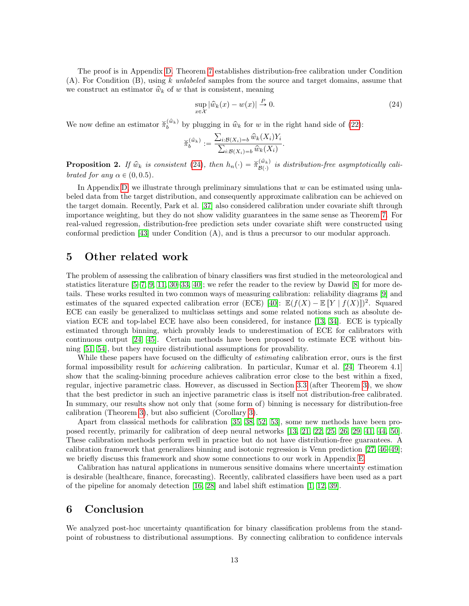The proof is in Appendix [D.](#page-24-0) Theorem [7](#page-11-1) establishes distribution-free calibration under Condition  $(A)$ . For Condition  $(B)$ , using k unlabeled samples from the source and target domains, assume that we construct an estimator  $\hat{w}_k$  of w that is consistent, meaning

<span id="page-12-3"></span>
$$
\sup_{x \in \mathcal{X}} |\hat{w}_k(x) - w(x)| \stackrel{P}{\to} 0. \tag{24}
$$

We now define an estimator  $\tilde{\pi}_b^{(\hat{w}_k)}$  by plugging in  $\hat{w}_k$  for w in the right hand side of [\(22\)](#page-11-3):

$$
\widecheck{\pi}_{b}^{(\widehat{w}_k)} := \frac{\sum_{i: \mathcal{B}(X_i) = b} \widehat{w}_k(X_i) Y_i}{\sum_{i: \mathcal{B}(X_i) = b} \widehat{w}_k(X_i)}.
$$

<span id="page-12-2"></span>**Proposition 2.** If  $\hat{w}_k$  is consistent [\(24\)](#page-12-3), then  $h_n(\cdot) = \breve{\pi}_{\mathcal{B}(\cdot)}^{(\hat{w}_k)}$  is distribution-free asymptotically calibrated for any  $\alpha \in (0, 0.5)$ .

In Appendix [D,](#page-24-0) we illustrate through preliminary simulations that  $w$  can be estimated using unlabeled data from the target distribution, and consequently approximate calibration can be achieved on the target domain. Recently, Park et al. [\[37\]](#page-15-5) also considered calibration under covariate shift through importance weighting, but they do not show validity guarantees in the same sense as Theorem [7.](#page-11-1) For real-valued regression, distribution-free prediction sets under covariate shift were constructed using conformal prediction [\[43\]](#page-16-7) under Condition (A), and is thus a precursor to our modular approach.

### <span id="page-12-0"></span>5 Other related work

The problem of assessing the calibration of binary classifiers was first studied in the meteorological and statistics literature [\[5–](#page-14-1)[7,](#page-14-2) [9,](#page-14-12) [11,](#page-14-13) [30](#page-15-6)[–33,](#page-15-0) [40\]](#page-16-2); we refer the reader to the review by Dawid [\[8\]](#page-14-14) for more details. These works resulted in two common ways of measuring calibration: reliability diagrams [\[9\]](#page-14-12) and estimates of the squared expected calibration error (ECE) [\[40\]](#page-16-2):  $\mathbb{E}(f(X) - \mathbb{E}[Y | f(X)])^2$ . Squared ECE can easily be generalized to multiclass settings and some related notions such as absolute deviation ECE and top-label ECE have also been considered, for instance [\[13,](#page-14-3) [34\]](#page-15-7). ECE is typically estimated through binning, which provably leads to underestimation of ECE for calibrators with continuous output [\[24,](#page-15-4) [45\]](#page-16-4). Certain methods have been proposed to estimate ECE without binning [\[51,](#page-16-8) [54\]](#page-16-9), but they require distributional assumptions for provability.

While these papers have focused on the difficulty of *estimating* calibration error, ours is the first formal impossibility result for achieving calibration. In particular, Kumar et al. [\[24,](#page-15-4) Theorem 4.1] show that the scaling-binning procedure achieves calibration error close to the best within a fixed, regular, injective parametric class. However, as discussed in Section [3.3](#page-7-0) (after Theorem [3\)](#page-8-2), we show that the best predictor in such an injective parametric class is itself not distribution-free calibrated. In summary, our results show not only that (some form of) binning is necessary for distribution-free calibration (Theorem [3\)](#page-8-2), but also sufficient (Corollary [3\)](#page-9-2).

Apart from classical methods for calibration [\[35,](#page-15-8) [38,](#page-15-1) [52,](#page-16-1) [53\]](#page-16-5), some new methods have been proposed recently, primarily for calibration of deep neural networks [\[13,](#page-14-3) [21,](#page-14-15) [22,](#page-15-9) [25,](#page-15-10) [26,](#page-15-11) [29,](#page-15-12) [41,](#page-16-10) [44,](#page-16-11) [50\]](#page-16-12). These calibration methods perform well in practice but do not have distribution-free guarantees. A calibration framework that generalizes binning and isotonic regression is Venn prediction [\[27,](#page-15-13) [46–](#page-16-3)[49\]](#page-16-13); we briefly discuss this framework and show some connections to our work in Appendix [E.](#page-32-0)

Calibration has natural applications in numerous sensitive domains where uncertainty estimation is desirable (healthcare, finance, forecasting). Recently, calibrated classifiers have been used as a part of the pipeline for anomaly detection [\[16,](#page-14-16) [28\]](#page-15-14) and label shift estimation [\[1,](#page-13-2) [12,](#page-14-17) [39\]](#page-15-15).

### <span id="page-12-1"></span>6 Conclusion

We analyzed post-hoc uncertainty quantification for binary classification problems from the standpoint of robustness to distributional assumptions. By connecting calibration to confidence intervals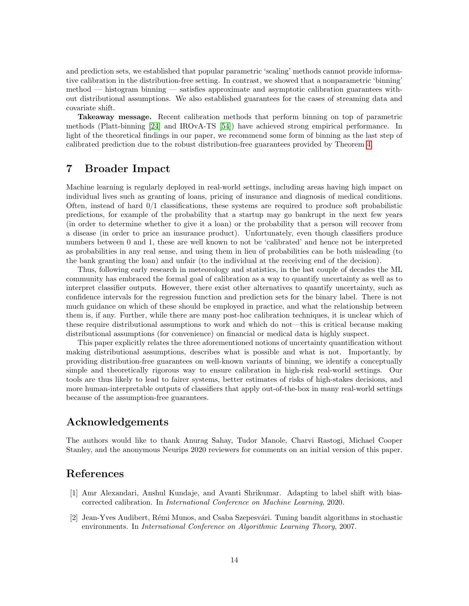and prediction sets, we established that popular parametric 'scaling' methods cannot provide informative calibration in the distribution-free setting. In contrast, we showed that a nonparametric 'binning' method — histogram binning — satisfies approximate and asymptotic calibration guarantees without distributional assumptions. We also established guarantees for the cases of streaming data and covariate shift.

Takeaway message. Recent calibration methods that perform binning on top of parametric methods (Platt-binning [\[24\]](#page-15-4) and IROvA-TS [\[54\]](#page-16-9)) have achieved strong empirical performance. In light of the theoretical findings in our paper, we recommend some form of binning as the last step of calibrated prediction due to the robust distribution-free guarantees provided by Theorem [4.](#page-9-1)

### <span id="page-13-0"></span>7 Broader Impact

Machine learning is regularly deployed in real-world settings, including areas having high impact on individual lives such as granting of loans, pricing of insurance and diagnosis of medical conditions. Often, instead of hard  $0/1$  classifications, these systems are required to produce soft probabilistic predictions, for example of the probability that a startup may go bankrupt in the next few years (in order to determine whether to give it a loan) or the probability that a person will recover from a disease (in order to price an insurance product). Unfortunately, even though classifiers produce numbers between 0 and 1, these are well known to not be 'calibrated' and hence not be interpreted as probabilities in any real sense, and using them in lieu of probabilities can be both misleading (to the bank granting the loan) and unfair (to the individual at the receiving end of the decision).

Thus, following early research in meteorology and statistics, in the last couple of decades the ML community has embraced the formal goal of calibration as a way to quantify uncertainty as well as to interpret classifier outputs. However, there exist other alternatives to quantify uncertainty, such as confidence intervals for the regression function and prediction sets for the binary label. There is not much guidance on which of these should be employed in practice, and what the relationship between them is, if any. Further, while there are many post-hoc calibration techniques, it is unclear which of these require distributional assumptions to work and which do not—this is critical because making distributional assumptions (for convenience) on financial or medical data is highly suspect.

This paper explicitly relates the three aforementioned notions of uncertainty quantification without making distributional assumptions, describes what is possible and what is not. Importantly, by providing distribution-free guarantees on well-known variants of binning, we identify a conceptually simple and theoretically rigorous way to ensure calibration in high-risk real-world settings. Our tools are thus likely to lead to fairer systems, better estimates of risks of high-stakes decisions, and more human-interpretable outputs of classifiers that apply out-of-the-box in many real-world settings because of the assumption-free guarantees.

### Acknowledgements

The authors would like to thank Anurag Sahay, Tudor Manole, Charvi Rastogi, Michael Cooper Stanley, and the anonymous Neurips 2020 reviewers for comments on an initial version of this paper.

### References

- <span id="page-13-2"></span>[1] Amr Alexandari, Anshul Kundaje, and Avanti Shrikumar. Adapting to label shift with biascorrected calibration. In International Conference on Machine Learning, 2020.
- <span id="page-13-1"></span>[2] Jean-Yves Audibert, Rémi Munos, and Csaba Szepesvári. Tuning bandit algorithms in stochastic environments. In International Conference on Algorithmic Learning Theory, 2007.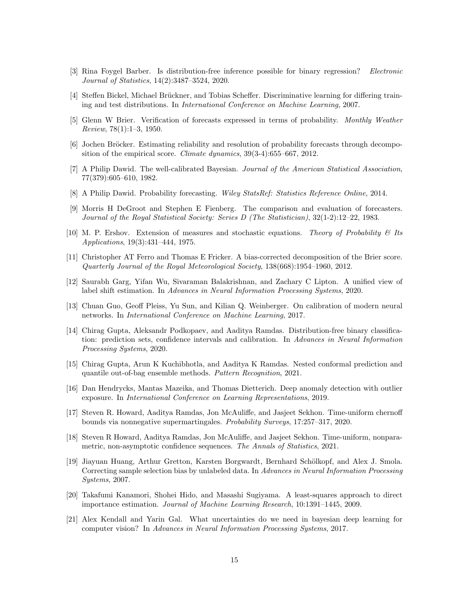- <span id="page-14-0"></span>[3] Rina Foygel Barber. Is distribution-free inference possible for binary regression? Electronic Journal of Statistics, 14(2):3487–3524, 2020.
- <span id="page-14-9"></span>[4] Steffen Bickel, Michael Brückner, and Tobias Scheffer. Discriminative learning for differing training and test distributions. In International Conference on Machine Learning, 2007.
- <span id="page-14-1"></span>[5] Glenn W Brier. Verification of forecasts expressed in terms of probability. Monthly Weather Review, 78(1):1–3, 1950.
- [6] Jochen Bröcker. Estimating reliability and resolution of probability forecasts through decomposition of the empirical score. Climate dynamics, 39(3-4):655–667, 2012.
- <span id="page-14-2"></span>[7] A Philip Dawid. The well-calibrated Bayesian. Journal of the American Statistical Association, 77(379):605–610, 1982.
- <span id="page-14-14"></span>[8] A Philip Dawid. Probability forecasting. Wiley StatsRef: Statistics Reference Online, 2014.
- <span id="page-14-12"></span>[9] Morris H DeGroot and Stephen E Fienberg. The comparison and evaluation of forecasters. Journal of the Royal Statistical Society: Series D (The Statistician), 32(1-2):12–22, 1983.
- <span id="page-14-6"></span>[10] M. P. Ershov. Extension of measures and stochastic equations. Theory of Probability  $\mathcal{C}$  Its Applications, 19(3):431–444, 1975.
- <span id="page-14-13"></span>[11] Christopher AT Ferro and Thomas E Fricker. A bias-corrected decomposition of the Brier score. Quarterly Journal of the Royal Meteorological Society, 138(668):1954–1960, 2012.
- <span id="page-14-17"></span>[12] Saurabh Garg, Yifan Wu, Sivaraman Balakrishnan, and Zachary C Lipton. A unified view of label shift estimation. In Advances in Neural Information Processing Systems, 2020.
- <span id="page-14-3"></span>[13] Chuan Guo, Geoff Pleiss, Yu Sun, and Kilian Q. Weinberger. On calibration of modern neural networks. In International Conference on Machine Learning, 2017.
- <span id="page-14-4"></span>[14] Chirag Gupta, Aleksandr Podkopaev, and Aaditya Ramdas. Distribution-free binary classification: prediction sets, confidence intervals and calibration. In Advances in Neural Information Processing Systems, 2020.
- <span id="page-14-5"></span>[15] Chirag Gupta, Arun K Kuchibhotla, and Aaditya K Ramdas. Nested conformal prediction and quantile out-of-bag ensemble methods. Pattern Recognition, 2021.
- <span id="page-14-16"></span>[16] Dan Hendrycks, Mantas Mazeika, and Thomas Dietterich. Deep anomaly detection with outlier exposure. In International Conference on Learning Representations, 2019.
- <span id="page-14-7"></span>[17] Steven R. Howard, Aaditya Ramdas, Jon McAuliffe, and Jasjeet Sekhon. Time-uniform chernoff bounds via nonnegative supermartingales. Probability Surveys, 17:257–317, 2020.
- <span id="page-14-8"></span>[18] Steven R Howard, Aaditya Ramdas, Jon McAuliffe, and Jasjeet Sekhon. Time-uniform, nonparametric, non-asymptotic confidence sequences. The Annals of Statistics, 2021.
- <span id="page-14-10"></span>[19] Jiayuan Huang, Arthur Gretton, Karsten Borgwardt, Bernhard Schölkopf, and Alex J. Smola. Correcting sample selection bias by unlabeled data. In Advances in Neural Information Processing Systems, 2007.
- <span id="page-14-11"></span>[20] Takafumi Kanamori, Shohei Hido, and Masashi Sugiyama. A least-squares approach to direct importance estimation. Journal of Machine Learning Research, 10:1391–1445, 2009.
- <span id="page-14-15"></span>[21] Alex Kendall and Yarin Gal. What uncertainties do we need in bayesian deep learning for computer vision? In Advances in Neural Information Processing Systems, 2017.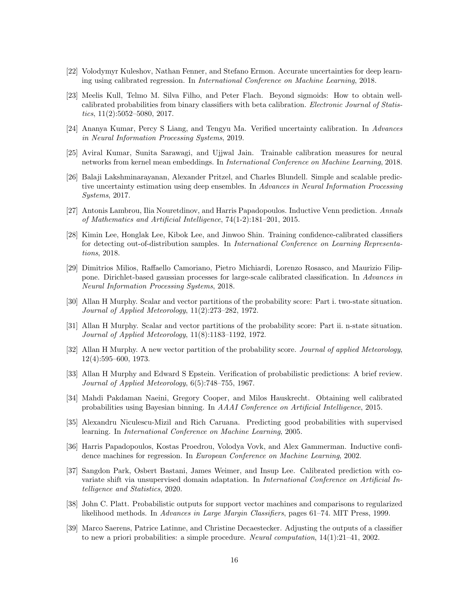- <span id="page-15-9"></span>[22] Volodymyr Kuleshov, Nathan Fenner, and Stefano Ermon. Accurate uncertainties for deep learning using calibrated regression. In International Conference on Machine Learning, 2018.
- <span id="page-15-3"></span>[23] Meelis Kull, Telmo M. Silva Filho, and Peter Flach. Beyond sigmoids: How to obtain wellcalibrated probabilities from binary classifiers with beta calibration. Electronic Journal of Statistics,  $11(2):5052-5080$ ,  $2017$ .
- <span id="page-15-4"></span>[24] Ananya Kumar, Percy S Liang, and Tengyu Ma. Verified uncertainty calibration. In Advances in Neural Information Processing Systems, 2019.
- <span id="page-15-10"></span>[25] Aviral Kumar, Sunita Sarawagi, and Ujjwal Jain. Trainable calibration measures for neural networks from kernel mean embeddings. In International Conference on Machine Learning, 2018.
- <span id="page-15-11"></span>[26] Balaji Lakshminarayanan, Alexander Pritzel, and Charles Blundell. Simple and scalable predictive uncertainty estimation using deep ensembles. In Advances in Neural Information Processing Systems, 2017.
- <span id="page-15-13"></span>[27] Antonis Lambrou, Ilia Nouretdinov, and Harris Papadopoulos. Inductive Venn prediction. Annals of Mathematics and Artificial Intelligence, 74(1-2):181–201, 2015.
- <span id="page-15-14"></span>[28] Kimin Lee, Honglak Lee, Kibok Lee, and Jinwoo Shin. Training confidence-calibrated classifiers for detecting out-of-distribution samples. In International Conference on Learning Representations, 2018.
- <span id="page-15-12"></span>[29] Dimitrios Milios, Raffaello Camoriano, Pietro Michiardi, Lorenzo Rosasco, and Maurizio Filippone. Dirichlet-based gaussian processes for large-scale calibrated classification. In Advances in Neural Information Processing Systems, 2018.
- <span id="page-15-6"></span>[30] Allan H Murphy. Scalar and vector partitions of the probability score: Part i. two-state situation. Journal of Applied Meteorology, 11(2):273–282, 1972.
- [31] Allan H Murphy. Scalar and vector partitions of the probability score: Part ii. n-state situation. Journal of Applied Meteorology, 11(8):1183–1192, 1972.
- [32] Allan H Murphy. A new vector partition of the probability score. Journal of applied Meteorology, 12(4):595–600, 1973.
- <span id="page-15-0"></span>[33] Allan H Murphy and Edward S Epstein. Verification of probabilistic predictions: A brief review. Journal of Applied Meteorology, 6(5):748–755, 1967.
- <span id="page-15-7"></span>[34] Mahdi Pakdaman Naeini, Gregory Cooper, and Milos Hauskrecht. Obtaining well calibrated probabilities using Bayesian binning. In AAAI Conference on Artificial Intelligence, 2015.
- <span id="page-15-8"></span>[35] Alexandru Niculescu-Mizil and Rich Caruana. Predicting good probabilities with supervised learning. In International Conference on Machine Learning, 2005.
- <span id="page-15-2"></span>[36] Harris Papadopoulos, Kostas Proedrou, Volodya Vovk, and Alex Gammerman. Inductive confidence machines for regression. In European Conference on Machine Learning, 2002.
- <span id="page-15-5"></span>[37] Sangdon Park, Osbert Bastani, James Weimer, and Insup Lee. Calibrated prediction with covariate shift via unsupervised domain adaptation. In International Conference on Artificial Intelligence and Statistics, 2020.
- <span id="page-15-1"></span>[38] John C. Platt. Probabilistic outputs for support vector machines and comparisons to regularized likelihood methods. In Advances in Large Margin Classifiers, pages 61–74. MIT Press, 1999.
- <span id="page-15-15"></span>[39] Marco Saerens, Patrice Latinne, and Christine Decaestecker. Adjusting the outputs of a classifier to new a priori probabilities: a simple procedure. Neural computation, 14(1):21–41, 2002.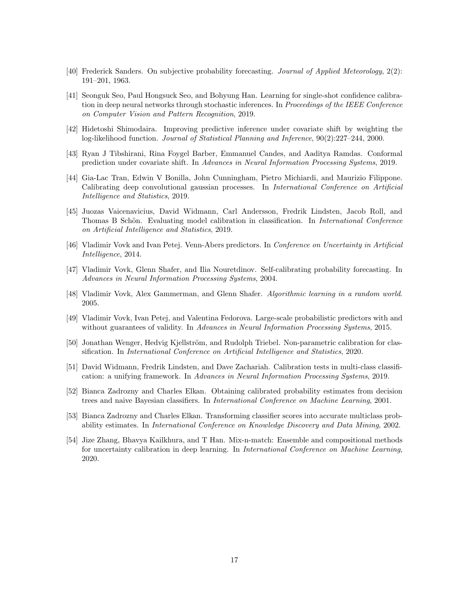- <span id="page-16-2"></span>[40] Frederick Sanders. On subjective probability forecasting. Journal of Applied Meteorology, 2(2): 191–201, 1963.
- <span id="page-16-10"></span>[41] Seonguk Seo, Paul Hongsuck Seo, and Bohyung Han. Learning for single-shot confidence calibration in deep neural networks through stochastic inferences. In Proceedings of the IEEE Conference on Computer Vision and Pattern Recognition, 2019.
- <span id="page-16-6"></span>[42] Hidetoshi Shimodaira. Improving predictive inference under covariate shift by weighting the log-likelihood function. Journal of Statistical Planning and Inference, 90(2):227–244, 2000.
- <span id="page-16-7"></span>[43] Ryan J Tibshirani, Rina Foygel Barber, Emmanuel Candes, and Aaditya Ramdas. Conformal prediction under covariate shift. In Advances in Neural Information Processing Systems, 2019.
- <span id="page-16-11"></span>[44] Gia-Lac Tran, Edwin V Bonilla, John Cunningham, Pietro Michiardi, and Maurizio Filippone. Calibrating deep convolutional gaussian processes. In International Conference on Artificial Intelligence and Statistics, 2019.
- <span id="page-16-4"></span>[45] Juozas Vaicenavicius, David Widmann, Carl Andersson, Fredrik Lindsten, Jacob Roll, and Thomas B Schön. Evaluating model calibration in classification. In International Conference on Artificial Intelligence and Statistics, 2019.
- <span id="page-16-3"></span>[46] Vladimir Vovk and Ivan Petej. Venn-Abers predictors. In Conference on Uncertainty in Artificial Intelligence, 2014.
- [47] Vladimir Vovk, Glenn Shafer, and Ilia Nouretdinov. Self-calibrating probability forecasting. In Advances in Neural Information Processing Systems, 2004.
- <span id="page-16-0"></span>[48] Vladimir Vovk, Alex Gammerman, and Glenn Shafer. Algorithmic learning in a random world. 2005.
- <span id="page-16-13"></span>[49] Vladimir Vovk, Ivan Petej, and Valentina Fedorova. Large-scale probabilistic predictors with and without guarantees of validity. In Advances in Neural Information Processing Systems, 2015.
- <span id="page-16-12"></span>[50] Jonathan Wenger, Hedvig Kjellström, and Rudolph Triebel. Non-parametric calibration for classification. In International Conference on Artificial Intelligence and Statistics, 2020.
- <span id="page-16-8"></span>[51] David Widmann, Fredrik Lindsten, and Dave Zachariah. Calibration tests in multi-class classification: a unifying framework. In Advances in Neural Information Processing Systems, 2019.
- <span id="page-16-1"></span>[52] Bianca Zadrozny and Charles Elkan. Obtaining calibrated probability estimates from decision trees and naive Bayesian classifiers. In International Conference on Machine Learning, 2001.
- <span id="page-16-5"></span>[53] Bianca Zadrozny and Charles Elkan. Transforming classifier scores into accurate multiclass probability estimates. In International Conference on Knowledge Discovery and Data Mining, 2002.
- <span id="page-16-9"></span>[54] Jize Zhang, Bhavya Kailkhura, and T Han. Mix-n-match: Ensemble and compositional methods for uncertainty calibration in deep learning. In International Conference on Machine Learning, 2020.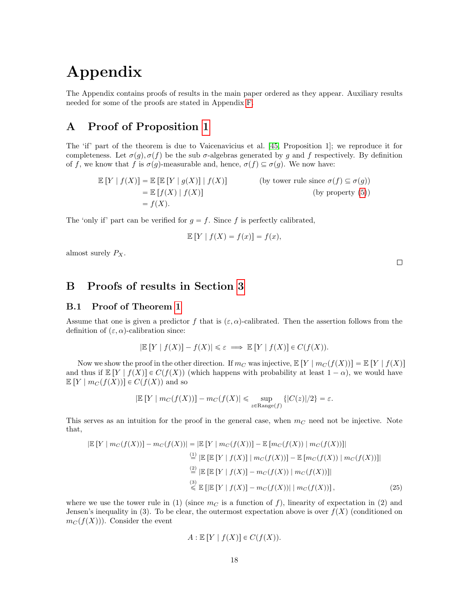# Appendix

The Appendix contains proofs of results in the main paper ordered as they appear. Auxiliary results needed for some of the proofs are stated in Appendix [F.](#page-33-0)

### <span id="page-17-0"></span>A Proof of Proposition [1](#page-3-1)

The 'if' part of the theorem is due to Vaicenavicius et al. [\[45,](#page-16-4) Proposition 1]; we reproduce it for completeness. Let  $\sigma(q)$ ,  $\sigma(f)$  be the sub  $\sigma$ -algebras generated by g and f respectively. By definition of f, we know that f is  $\sigma(g)$ -measurable and, hence,  $\sigma(f) \subseteq \sigma(g)$ . We now have:

$$
\mathbb{E}[Y | f(X)] = \mathbb{E}[\mathbb{E}[Y | g(X)] | f(X)]
$$
 (by tower rule since  $\sigma(f) \subseteq \sigma(g)$ )  
=  $\mathbb{E}[f(X) | f(X)]$  (by property (5))  
=  $f(X)$ .

The 'only if' part can be verified for  $g = f$ . Since f is perfectly calibrated,

$$
\mathbb{E}[Y \mid f(X) = f(x)] = f(x),
$$

almost surely  $P_X$ .

### <span id="page-17-1"></span>B Proofs of results in Section [3](#page-5-1)

### <span id="page-17-2"></span>B.1 Proof of Theorem [1](#page-6-2)

Assume that one is given a predictor f that is  $(\varepsilon, \alpha)$ -calibrated. Then the assertion follows from the definition of  $(\varepsilon, \alpha)$ -calibration since:

$$
|\mathbb{E}[Y \mid f(X)] - f(X)| \leq \varepsilon \implies \mathbb{E}[Y \mid f(X)] \in C(f(X)).
$$

Now we show the proof in the other direction. If  $m<sub>C</sub>$  was injective,  $\mathbb{E}[Y | m<sub>C</sub>(f(X))] = \mathbb{E}[Y | f(X)]$ and thus if  $\mathbb{E}[Y | f(X)] \in C(f(X))$  (which happens with probability at least  $1 - \alpha$ ), we would have  $\mathbb{E}[Y \mid m_C(f(X))] \in C(f(X))$  and so

$$
|\mathbb{E}[Y \mid m_C(f(X))] - m_C(f(X))| \leq \sup_{z \in \text{Range}(f)} \{|C(z)|/2\} = \varepsilon.
$$

This serves as an intuition for the proof in the general case, when  $m<sub>C</sub>$  need not be injective. Note that,

$$
|\mathbb{E}[Y \mid mc(f(X))] - mc(f(X))| = |\mathbb{E}[Y \mid mc(f(X))] - \mathbb{E}[mc(f(X)) \mid mc(f(X))]|
$$
  
\n
$$
\stackrel{(1)}{=} |\mathbb{E}[E[Y \mid f(X)] \mid mc(f(X))] - \mathbb{E}[mc(f(X)) \mid mc(f(X))]|
$$
  
\n
$$
\stackrel{(2)}{=} |\mathbb{E}[E[Y \mid f(X)] - mc(f(X)) \mid mc(f(X))]|
$$
  
\n
$$
\stackrel{(3)}{\leq} \mathbb{E}[|\mathbb{E}[Y \mid f(X)] - mc(f(X)) \mid mc(f(X))],
$$
  
\n(25)

where we use the tower rule in (1) (since  $m<sub>C</sub>$  is a function of f), linearity of expectation in (2) and Jensen's inequality in (3). To be clear, the outermost expectation above is over  $f(X)$  (conditioned on  $m<sub>C</sub>(f(X))$ . Consider the event

<span id="page-17-3"></span>
$$
A: \mathbb{E}[Y \mid f(X)] \in C(f(X)).
$$

 $\Box$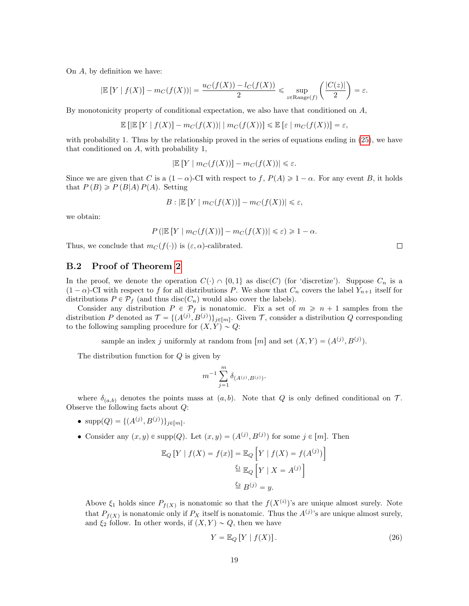On A, by definition we have:

$$
|\mathbb{E}[Y | f(X)] - m_C(f(X))| = \frac{u_C(f(X)) - l_C(f(X))}{2} \leq \sup_{z \in \text{Range}(f)} \left( \frac{|C(z)|}{2} \right) = \varepsilon.
$$

By monotonicity property of conditional expectation, we also have that conditioned on  $A$ ,

$$
\mathbb{E}\left[\left|\mathbb{E}\left[Y\mid f(X)\right]-m_C(f(X))\right|\mid m_C(f(X))\right]\leq \mathbb{E}\left[\varepsilon\mid m_C(f(X))\right]=\varepsilon,
$$

with probability 1. Thus by the relationship proved in the series of equations ending in [\(25\)](#page-17-3), we have that conditioned on A, with probability 1,

$$
|\mathbb{E}[Y \mid m_C(f(X))] - m_C(f(X))| \leq \varepsilon.
$$

Since we are given that C is a  $(1 - \alpha)$ -CI with respect to f,  $P(A) \geq 1 - \alpha$ . For any event B, it holds that  $P(B) \geqslant P(B|A)P(A)$ . Setting

$$
B: |\mathbb{E}[Y | m_C(f(X))] - m_C(f(X))| \leq \varepsilon,
$$

we obtain:

$$
P\left(\left|\mathbb{E}\left[Y \mid m_C(f(X))\right] - m_C(f(X))\right| \leq \varepsilon\right) \geq 1 - \alpha.
$$

Thus, we conclude that  $m_C(f(\cdot))$  is  $(\varepsilon, \alpha)$ -calibrated.

### <span id="page-18-0"></span>B.2 Proof of Theorem [2](#page-7-1)

In the proof, we denote the operation  $C(\cdot) \cap \{0, 1\}$  as disc(C) (for 'discretize'). Suppose  $C_n$  is a  $(1 - \alpha)$ -CI with respect to f for all distributions P. We show that  $C_n$  covers the label  $Y_{n+1}$  itself for distributions  $P \in \mathcal{P}_f$  (and thus disc $(C_n)$  would also cover the labels).

Consider any distribution  $P \in \mathcal{P}_f$  is nonatomic. Fix a set of  $m \geq n + 1$  samples from the distribution P denoted as  $\mathcal{T} = \{(A^{(j)}, B^{(j)})\}_{j \in [m]}$ . Given T, consider a distribution Q corresponding to the following sampling procedure for  $(X, Y) \sim Q$ :

sample an index j uniformly at random from  $[m]$  and set  $(X, Y) = (A^{(j)}, B^{(j)})$ .

The distribution function for Q is given by

$$
m^{-1}\sum_{j=1}^m \delta_{(A^{(j)},B^{(j)})}.
$$

where  $\delta_{(a,b)}$  denotes the points mass at  $(a, b)$ . Note that Q is only defined conditional on T. Observe the following facts about Q:

- $supp(Q) = \{(A^{(j)}, B^{(j)})\}_{j \in [m]}.$
- Consider any  $(x, y) \in \text{supp}(Q)$ . Let  $(x, y) = (A^{(j)}, B^{(j)})$  for some  $j \in [m]$ . Then " ı

$$
\mathbb{E}_{Q}[Y | f(X) = f(x)] = \mathbb{E}_{Q}\left[Y | f(X) = f(A^{(j)})\right]
$$

$$
\stackrel{\underline{\xi_{1}}}{=} \mathbb{E}_{Q}\left[Y | X = A^{(j)}\right]
$$

$$
\stackrel{\underline{\xi_{2}}}{=} B^{(j)} = y.
$$

Above  $\xi_1$  holds since  $P_{f(X)}$  is nonatomic so that the  $f(X^{(i)})$ 's are unique almost surely. Note that  $P_{f(X)}$  is nonatomic only if  $P_X$  itself is nonatomic. Thus the  $A^{(j)}$ 's are unique almost surely, and  $\xi_2$  follow. In other words, if  $(X, Y) \sim Q$ , then we have

<span id="page-18-1"></span>
$$
Y = \mathbb{E}_Q \left[ Y \mid f(X) \right]. \tag{26}
$$

 $\Box$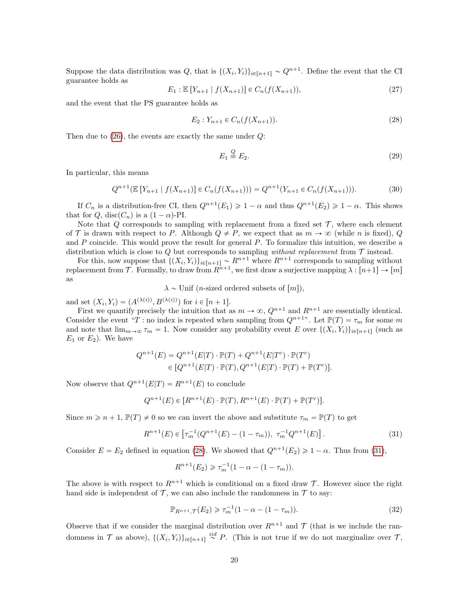Suppose the data distribution was Q, that is  $\{(X_i, Y_i)\}_{i \in [n+1]} \sim Q^{n+1}$ . Define the event that the CI guarantee holds as

$$
E_1: \mathbb{E}\left[Y_{n+1} \mid f(X_{n+1})\right] \in C_n(f(X_{n+1})),\tag{27}
$$

and the event that the PS guarantee holds as

<span id="page-19-0"></span>
$$
E_2: Y_{n+1} \in C_n(f(X_{n+1})).
$$
\n(28)

Then due to  $(26)$ , the events are exactly the same under  $Q$ :

$$
E_1 \stackrel{Q}{=} E_2. \tag{29}
$$

In particular, this means

$$
Q^{n+1}(\mathbb{E}\left[Y_{n+1} \mid f(X_{n+1})\right] \in C_n(f(X_{n+1}))) = Q^{n+1}(Y_{n+1} \in C_n(f(X_{n+1}))).\tag{30}
$$

If  $C_n$  is a distribution-free CI, then  $Q^{n+1}(E_1) \geq 1-\alpha$  and thus  $Q^{n+1}(E_2) \geq 1-\alpha$ . This shows that for Q, disc $(C_n)$  is a  $(1 - \alpha)$ -PI.

Note that  $Q$  corresponds to sampling with replacement from a fixed set  $\mathcal{T}$ , where each element of T is drawn with respect to P. Although  $Q \neq P$ , we expect that as  $m \to \infty$  (while n is fixed), Q and P coincide. This would prove the result for general P. To formalize this intuition, we describe a distribution which is close to Q but corresponds to sampling *without replacement* from  $\mathcal{T}$  instead.

For this, now suppose that  $\{(X_i, Y_i)\}_{i \in [n+1]} \sim R^{n+1}$  where  $R^{n+1}$  corresponds to sampling without replacement from T. Formally, to draw from  $R^{n+1}$ , we first draw a surjective mapping  $\lambda : [n+1] \to [m]$ as

 $\lambda \sim$  Unif (*n*-sized ordered subsets of  $[m]$ ),

and set  $(X_i, Y_i) = (A^{(\lambda(i))}, B^{(\lambda(i))})$  for  $i \in [n + 1]$ .

First we quantify precisely the intuition that as  $m \to \infty$ ,  $Q^{n+1}$  and  $R^{n+1}$  are essentially identical. Consider the event "T : no index is repeated when sampling from  $Q^{n+1}$ ". Let  $\mathbb{P}(T) = \tau_m$  for some m and note that  $\lim_{m\to\infty} \tau_m = 1$ . Now consider any probability event E over  $\{(X_i, Y_i)\}_{i\in[n+1]}$  (such as  $E_1$  or  $E_2$ ). We have

$$
Q^{n+1}(E) = Q^{n+1}(E|T) \cdot \mathbb{P}(T) + Q^{n+1}(E|T^c) \cdot \mathbb{P}(T^c)
$$
  
\n
$$
\in [Q^{n+1}(E|T) \cdot \mathbb{P}(T), Q^{n+1}(E|T) \cdot \mathbb{P}(T) + \mathbb{P}(T^c)].
$$

Now observe that  $Q^{n+1}(E|T) = R^{n+1}(E)$  to conclude

$$
Q^{n+1}(E) \in [R^{n+1}(E) \cdot \mathbb{P}(T), R^{n+1}(E) \cdot \mathbb{P}(T) + \mathbb{P}(T^{c})].
$$

Since  $m \geq n + 1$ ,  $\mathbb{P}(T) \neq 0$  so we can invert the above and substitute  $\tau_m = \mathbb{P}(T)$  to get

<span id="page-19-1"></span>
$$
R^{n+1}(E) \in \left[\tau_m^{-1}(Q^{n+1}(E) - (1 - \tau_m)), \ \tau_m^{-1}Q^{n+1}(E)\right].\tag{31}
$$

Consider  $E = E_2$  defined in equation [\(28\)](#page-19-0). We showed that  $Q^{n+1}(E_2) \geq 1 - \alpha$ . Thus from [\(31\)](#page-19-1),

$$
R^{n+1}(E_2) \geq \tau_m^{-1}(1 - \alpha - (1 - \tau_m)).
$$

The above is with respect to  $R^{n+1}$  which is conditional on a fixed draw T. However since the right hand side is independent of  $\mathcal T$ , we can also include the randomness in  $\mathcal T$  to say:

<span id="page-19-2"></span>
$$
\mathbb{P}_{R^{n+1},\mathcal{T}}(E_2) \geq \tau_m^{-1}(1-\alpha - (1-\tau_m)).
$$
\n(32)

Observe that if we consider the marginal distribution over  $R^{n+1}$  and T (that is we include the randomness in  $\mathcal T$  as above),  $\{(X_i,Y_i)\}_{i\in[n+1]} \stackrel{iid}{\sim} P$ . (This is not true if we do not marginalize over  $\mathcal T$ ,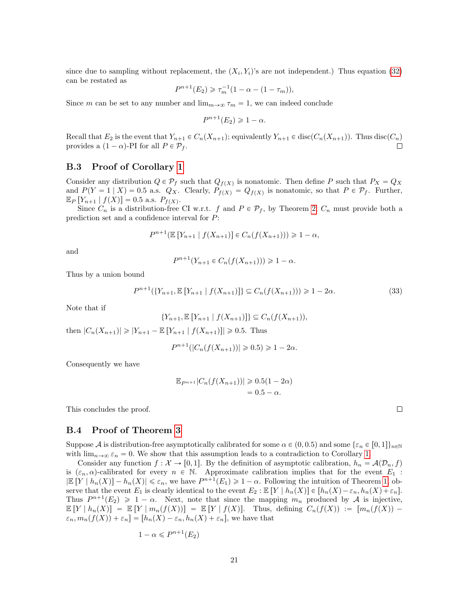since due to sampling without replacement, the  $(X_i, Y_i)$ 's are not independent.) Thus equation [\(32\)](#page-19-2) can be restated as

$$
P^{n+1}(E_2) \geq \tau_m^{-1}(1 - \alpha - (1 - \tau_m)),
$$

Since m can be set to any number and  $\lim_{m\to\infty} \tau_m = 1$ , we can indeed conclude

$$
P^{n+1}(E_2) \geq 1 - \alpha.
$$

Recall that  $E_2$  is the event that  $Y_{n+1} \in C_n(X_{n+1})$ ; equivalently  $Y_{n+1} \in \text{disc}(C_n(X_{n+1}))$ . Thus  $\text{disc}(C_n)$ provides a  $(1 - \alpha)$ -PI for all  $P \in \mathcal{P}_f$ . П

### <span id="page-20-0"></span>B.3 Proof of Corollary [1](#page-7-2)

Consider any distribution  $Q \in \mathcal{P}_f$  such that  $Q_{f(X)}$  is nonatomic. Then define P such that  $P_X = Q_X$ and  $P(Y = 1 | X) = 0.5$  a.s.  $Q_X$ . Clearly,  $P_{f(X)} = Q_{f(X)}$  is nonatomic, so that  $P \in \mathcal{P}_f$ . Further,  $\mathbb{E}_P \left[ Y_{n+1} \mid f(X) \right] = 0.5 \text{ a.s. } P_{f(X)}$ .

Since  $C_n$  is a distribution-free CI w.r.t. f and  $P \in \mathcal{P}_f$ , by Theorem [2,](#page-7-1)  $C_n$  must provide both a prediction set and a confidence interval for P:

$$
P^{n+1}(\mathbb{E}[Y_{n+1} | f(X_{n+1})] \in C_n(f(X_{n+1}))) \geq 1 - \alpha,
$$

and

$$
P^{n+1}(Y_{n+1} \in C_n(f(X_{n+1}))) \geq 1 - \alpha.
$$

Thus by a union bound

$$
P^{n+1}(\{Y_{n+1}, \mathbb{E}\left[Y_{n+1} \mid f(X_{n+1})\right]\} \subseteq C_n(f(X_{n+1}))) \ge 1 - 2\alpha. \tag{33}
$$

Note that if

$$
\{Y_{n+1}, \mathbb{E}\left[Y_{n+1} \mid f(X_{n+1})\right]\} \subseteq C_n(f(X_{n+1})),
$$
 then  $|C_n(X_{n+1})| \ge |Y_{n+1} - \mathbb{E}\left[Y_{n+1} \mid f(X_{n+1})\right]| \ge 0.5$ . Thus

$$
P^{n+1}(|C_n(f(X_{n+1}))| \ge 0.5) \ge 1 - 2\alpha.
$$

Consequently we have

$$
\mathbb{E}_{P^{n+1}}|C_n(f(X_{n+1}))| \ge 0.5(1-2\alpha) = 0.5 - \alpha.
$$

This concludes the proof.

#### <span id="page-20-1"></span>B.4 Proof of Theorem [3](#page-8-2)

Suppose A is distribution-free asymptotically calibrated for some  $\alpha \in (0, 0.5)$  and some  $\{\varepsilon_n \in [0, 1]\}_{n\in\mathbb{N}}$ with  $\lim_{n\to\infty} \varepsilon_n = 0$ . We show that this assumption leads to a contradiction to Corollary [1.](#page-7-2)

Consider any function  $f: \mathcal{X} \to [0, 1]$ . By the definition of asymptotic calibration,  $h_n = \mathcal{A}(\mathcal{D}_n, f)$ is  $(\varepsilon_n, \alpha)$ -calibrated for every  $n \in \mathbb{N}$ . Approximate calibration implies that for the event  $E_1$ :  $|\mathbb{E}[Y \mid h_n(X)] - h_n(X)| \leq \varepsilon_n$ , we have  $P^{n+1}(E_1) \geq 1 - \alpha$ . Following the intuition of Theorem [1,](#page-6-2) observe that the event  $E_1$  is clearly identical to the event  $E_2 : \mathbb{E}[Y \mid h_n(X)] \in [h_n(X) - \varepsilon_n, h_n(X) + \varepsilon_n].$ Thus  $P^{n+1}(E_2) \geq 1 - \alpha$ . Next, note that since the mapping  $m_n$  produced by A is injective,  $\mathbb{E}[Y \mid h_n(X)] = \mathbb{E}[Y \mid m_n(f(X))] = \mathbb{E}[Y \mid f(X)].$  Thus, defining  $C_n(f(X)) := [m_n(f(X))]$  $\varepsilon_n, m_n(f(X)) + \varepsilon_n] = [h_n(X) - \varepsilon_n, h_n(X) + \varepsilon_n]$ , we have that

$$
1 - \alpha \leqslant P^{n+1}(E_2)
$$

 $\Box$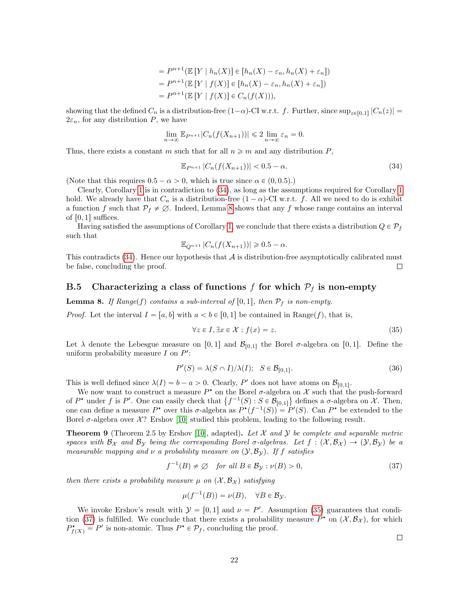$$
= P^{n+1}(\mathbb{E}[Y | h_n(X)] \in [h_n(X) - \varepsilon_n, h_n(X) + \varepsilon_n])
$$

$$
= P^{n+1}(\mathbb{E}[Y | f(X)] \in [h_n(X) - \varepsilon_n, h_n(X) + \varepsilon_n])
$$

$$
= P^{n+1}(\mathbb{E}[Y | f(X)] \in C_n(f(X))),
$$

showing that the defined  $C_n$  is a distribution-free  $(1-\alpha)$ -CI w.r.t. f. Further, since  $\sup_{z\in[0,1]}|C_n(z)| =$  $2\varepsilon_n$ , for any distribution P, we have

$$
\lim_{n \to \infty} \mathbb{E}_{P^{n+1}} |C_n(f(X_{n+1}))| \leq 2 \lim_{n \to \infty} \varepsilon_n = 0.
$$

Thus, there exists a constant m such that for all  $n \geq m$  and any distribution P,

<span id="page-21-2"></span>
$$
\mathbb{E}_{P^{n+1}}|C_n(f(X_{n+1}))| < 0.5 - \alpha. \tag{34}
$$

(Note that this requires  $0.5 - \alpha > 0$ , which is true since  $\alpha \in (0, 0.5)$ .)

Clearly, Corollary [1](#page-7-2) is in contradiction to [\(34\)](#page-21-2), as long as the assumptions required for Corollary [1](#page-7-2) hold. We already have that  $C_n$  is a distribution-free  $(1 - \alpha)$ -CI w.r.t. f. All we need to do is exhibit a function f such that  $\mathcal{P}_f \neq \emptyset$ . Indeed, Lemma [8](#page-21-1) shows that any f whose range contains an interval of  $[0, 1]$  suffices.

Having satisfied the assumptions of Corollary [1,](#page-7-2) we conclude that there exists a distribution  $Q \in \mathcal{P}_f$ such that

$$
\mathbb{E}_{Q^{n+1}}|C_n(f(X_{n+1}))| \geq 0.5-\alpha.
$$

This contradicts  $(34)$ . Hence our hypothesis that  $\mathcal A$  is distribution-free asymptotically calibrated must be false, concluding the proof. П

### <span id="page-21-0"></span>B.5 Characterizing a class of functions f for which  $P_f$  is non-empty

<span id="page-21-1"></span>**Lemma 8.** If Range(f) contains a sub-interval of  $[0, 1]$ , then  $\mathcal{P}_f$  is non-empty.

*Proof.* Let the interval  $I = [a, b]$  with  $a < b \in [0, 1]$  be contained in Range(f), that is,

<span id="page-21-3"></span>
$$
\forall z \in I, \exists x \in \mathcal{X} : f(x) = z. \tag{35}
$$

Let  $\lambda$  denote the Lebesgue measure on [0, 1] and  $\mathcal{B}_{[0,1]}$  the Borel  $\sigma$ -algebra on [0, 1]. Define the uniform probability measure  $I$  on  $P'$ :

$$
P'(S) = \lambda(S \cap I) / \lambda(I); \quad S \in \mathcal{B}_{[0,1]}.
$$
\n(36)

This is well defined since  $\lambda(I) = b - a > 0$ . Clearly, P' does not have atoms on  $\mathcal{B}_{[0,1]}$ .

We now want to construct a measure  $P^*$  on the Borel  $\sigma$ -algebra on X such that the push-forward We now want to construct a measure  $P^*$  on the Borel  $\sigma$ -algebra on X such that the push-forward<br>of  $P^*$  under f is P'. One can easily check that  $\{f^{-1}(S) : S \in \mathcal{B}_{[0,1]}\}\$  defines a  $\sigma$ -algebra on X. Then, one can define a measure  $P^*$  over this  $\sigma$ -algebra as  $P^*(f^{-1}(S)) = P'(S)$ . Can  $P^*$  be extended to the Borel  $\sigma$ -algebra over X? Ershov [\[10\]](#page-14-6) studied this problem, leading to the following result.

**Theorem 9** (Theorem 2.5 by Ershov [\[10\]](#page-14-6), adapted). Let  $\mathcal{X}$  and  $\mathcal{Y}$  be complete and separable metric spaces with  $B_\chi$  and  $B_\gamma$  being the corresponding Borel  $\sigma$ -algebras. Let  $f : (\mathcal{X}, B_\mathcal{X}) \to (\mathcal{Y}, B_\mathcal{Y})$  be a measurable mapping and  $\nu$  a probability measure on  $(\mathcal{Y}, \mathcal{B}_{\mathcal{Y}})$ . If f satisfies

<span id="page-21-4"></span>
$$
f^{-1}(B) \neq \emptyset \quad \text{for all } B \in \mathcal{B}_{\mathcal{Y}} : \nu(B) > 0,
$$
\n
$$
(37)
$$

then there exists a probability measure  $\mu$  on  $(\mathcal{X}, \mathcal{B}_{\mathcal{X}})$  satisfying

$$
\mu(f^{-1}(B)) = \nu(B), \quad \forall B \in \mathcal{B}_{\mathcal{Y}}.
$$

We invoke Ershov's result with  $\mathcal{Y} = [0, 1]$  and  $\nu = P'$ . Assumption [\(35\)](#page-21-3) guarantees that condi-tion [\(37\)](#page-21-4) is fulfilled. We conclude that there exists a probability measure  $P^*$  on  $(\mathcal{X}, \mathcal{B}_{\mathcal{X}})$ , for which  $P_{f(X)}^* = P'$  is non-atomic. Thus  $P^* \in \mathcal{P}_f$ , concluding the proof.

 $\Box$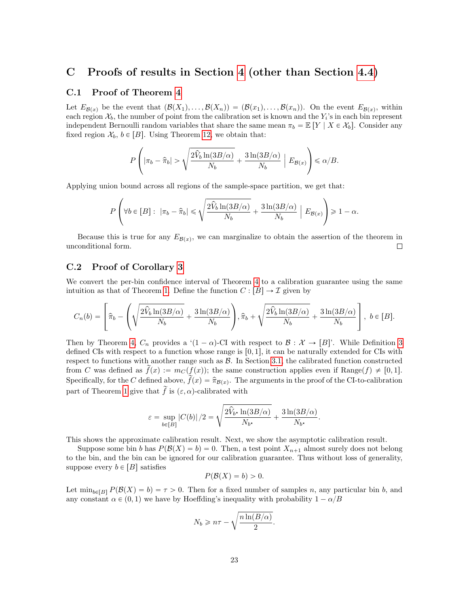### <span id="page-22-0"></span>C Proofs of results in Section [4](#page-8-0) (other than Section [4.4\)](#page-11-0)

#### <span id="page-22-1"></span>C.1 Proof of Theorem [4](#page-9-1)

Let  $E_{\mathcal{B}(x)}$  be the event that  $(\mathcal{B}(X_1), \ldots, \mathcal{B}(X_n)) = (\mathcal{B}(x_1), \ldots, \mathcal{B}(x_n)).$  On the event  $E_{\mathcal{B}(x)}$ , within each region  $\mathcal{X}_b$ , the number of point from the calibration set is known and the  $Y_i$ 's in each bin represent independent Bernoulli random variables that share the same mean  $\pi_b = \mathbb{E}[Y | X \in \mathcal{X}_b]$ . Consider any fixed region  $\mathcal{X}_b$ ,  $b \in [B]$ . Using Theorem [12,](#page-33-3) we obtain that:

$$
P\left(|\pi_b - \hat{\pi}_b| > \sqrt{\frac{2\hat{V}_b\ln(3B/\alpha)}{N_b}} + \frac{3\ln(3B/\alpha)}{N_b}\;\Big|\;E_{\mathcal{B}(x)}\right) \leq \alpha/B.
$$

Applying union bound across all regions of the sample-space partition, we get that:

$$
P\left(\forall b\in[B]:\ |\pi_b-\widehat{\pi}_b|\leqslant \sqrt{\frac{2\widehat{V}_b\ln(3B/\alpha)}{N_b}}+\frac{3\ln(3B/\alpha)}{N_b}\bigg|\ E_{\mathcal{B}(x)}\right)\geqslant 1-\alpha.
$$

Because this is true for any  $E_{\mathcal{B}(x)}$ , we can marginalize to obtain the assertion of the theorem in unconditional form.  $\Box$ 

### <span id="page-22-2"></span>C.2 Proof of Corollary [3](#page-9-2)

We convert the per-bin confidence interval of Theorem [4](#page-9-1) to a calibration guarantee using the same intuition as that of Theorem [1.](#page-6-2) Define the function  $C : [B] \to \mathcal{I}$  given by

$$
C_n(b) = \left[\widehat{\pi}_b - \left(\sqrt{\frac{2\widehat{V}_b\ln(3B/\alpha)}{N_b}} + \frac{3\ln(3B/\alpha)}{N_b}\right), \widehat{\pi}_b + \sqrt{\frac{2\widehat{V}_b\ln(3B/\alpha)}{N_b}} + \frac{3\ln(3B/\alpha)}{N_b}\right], b \in [B].
$$

Then by Theorem [4,](#page-9-1)  $C_n$  provides a ' $(1 - \alpha)$ -CI with respect to  $\mathcal{B}: \mathcal{X} \to [B]'$ . While Definition [3](#page-4-5) defined CIs with respect to a function whose range is  $[0, 1]$ , it can be naturally extended for CIs with respect to functions with another range such as  $\mathcal{B}$ . In Section [3.1,](#page-6-0) the calibrated function constructed from C was defined as  $\tilde{f}(x) := m_C(f(x))$ ; the same construction applies even if Range $(f) \neq [0, 1]$ . Specifically, for the C defined above,  $\tilde{f}(x) = \hat{\pi}_{\mathcal{B}(x)}$ . The arguments in the proof of the CI-to-calibration part of Theorem [1](#page-6-2) give that  $\tilde{f}$  is  $(\varepsilon, \alpha)$ -calibrated with

$$
\varepsilon = \sup_{b \in [B]} |C(b)|/2 = \sqrt{\frac{2\hat{V}_{b^*} \ln(3B/\alpha)}{N_{b^*}} + \frac{3\ln(3B/\alpha)}{N_{b^*}}}.
$$

This shows the approximate calibration result. Next, we show the asymptotic calibration result.

de la construcción de la construcción de la construcción de la construcción de la construcción de la construcc

Suppose some bin b has  $P(\mathcal{B}(X) = b) = 0$ . Then, a test point  $X_{n+1}$  almost surely does not belong to the bin, and the bin can be ignored for our calibration guarantee. Thus without loss of generality, suppose every  $b \in [B]$  satisfies

$$
P(\mathcal{B}(X) = b) > 0.
$$

Let  $\min_{b\in [B]} P(B(X) = b) = \tau > 0$ . Then for a fixed number of samples n, any particular bin b, and any constant  $\alpha \in (0, 1)$  we have by Hoeffding's inequality with probability  $1 - \alpha/B$ 

$$
N_b \geqslant n\tau - \sqrt{\frac{n\ln(B/\alpha)}{2}}.
$$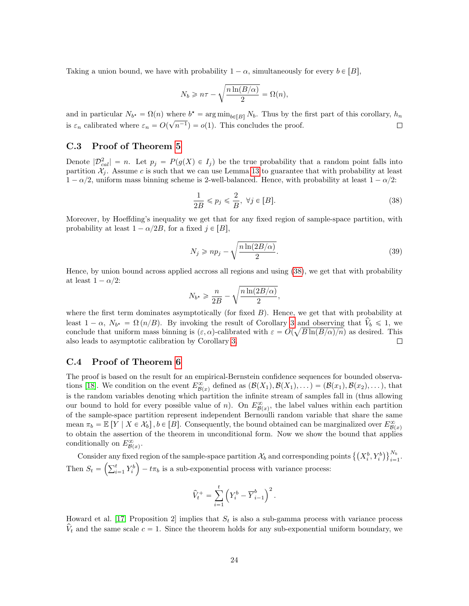Taking a union bound, we have with probability  $1 - \alpha$ , simultaneously for every  $b \in [B]$ ,

$$
N_b \geqslant n\tau - \sqrt{\frac{n\ln(B/\alpha)}{2}} = \Omega(n),
$$

and in particular  $N_{b^*} = \Omega(n)$  where  $b^* = \arg \min_{b \in [B]} N_b$ . Thus by the first part of this corollary,  $h_n$ is  $\varepsilon_n$  calibrated where  $\varepsilon_n = O(\sqrt{n^{-1}}) = o(1)$ . This concludes the proof.  $\Box$ 

#### <span id="page-23-0"></span>C.3 Proof of Theorem [5](#page-10-1)

Denote  $|\mathcal{D}_{cal}^2| = n$ . Let  $p_j = P(g(X) \in I_j)$  be the true probability that a random point falls into partition  $\mathcal{X}_i$ . Assume c is such that we can use Lemma [13](#page-33-4) to guarantee that with probability at least  $1 - \alpha/2$ , uniform mass binning scheme is 2-well-balanced. Hence, with probability at least  $1 - \alpha/2$ :

<span id="page-23-2"></span>
$$
\frac{1}{2B} \leqslant p_j \leqslant \frac{2}{B}, \ \forall j \in [B]. \tag{38}
$$

Moreover, by Hoeffding's inequality we get that for any fixed region of sample-space partition, with probability at least  $1 - \alpha/2B$ , for a fixed  $j \in [B]$ ,

$$
N_j \geqslant np_j - \sqrt{\frac{n \ln(2B/\alpha)}{2}}.\tag{39}
$$

Hence, by union bound across applied accross all regions and using [\(38\)](#page-23-2), we get that with probability at least  $1 - \alpha/2$ :

$$
N_{b^*} \geqslant \frac{n}{2B} - \sqrt{\frac{n \ln(2B/\alpha)}{2}},
$$

where the first term dominates asymptotically (for fixed  $B$ ). Hence, we get that with probability at least  $1 - \alpha$ ,  $N_{b^*} = \Omega(n/B)$ . By invoking the result of Corollary [3](#page-9-2) and observing that  $V_b \le 1$ , we conclude that uniform mass binning is  $(\varepsilon, \alpha)$ -calibrated with  $\varepsilon = O(\sqrt{B \ln(B/\alpha)}/n)$  as desired. This also leads to asymptotic calibration by Corollary [3.](#page-9-2) П

### <span id="page-23-1"></span>C.4 Proof of Theorem [6](#page-10-2)

The proof is based on the result for an empirical-Bernstein confidence sequences for bounded observa-tions [\[18\]](#page-14-8). We condition on the event  $E_{\mathcal{B}(x)}^{\infty}$  defined as  $(\mathcal{B}(X_1), \mathcal{B}(X_1), \dots) = (\mathcal{B}(x_1), \mathcal{B}(x_2), \dots)$ , that is the random variables denoting which partition the infinite stream of samples fall in (thus allowing our bound to hold for every possible value of n). On  $E_{\mathcal{B}(x)}^{\infty}$ , the label values within each partition of the sample-space partition represent independent Bernoulli random variable that share the same mean  $\pi_b = \mathbb{E}[Y \mid X \in \mathcal{X}_b], b \in [B]$ . Consequently, the bound obtained can be marginalized over  $E_{\mathcal{B}(x)}^{\infty}$ to obtain the assertion of the theorem in unconditional form. Now we show the bound that applies conditionally on  $E_{\mathcal{B}(x)}^{\infty}$ .

Consider any fixed region of the sample-space partition  $\mathcal{X}_b$  and corresponding points  $\left\{\left(X_i^b, Y_i^b\right)\right\}_{i=1}^{N_b}$ I region of the sample-space partition  $\mathcal{X}_b$  and corresponding points  $\left\{ \left( X_i^b, Y_i^b \right) \right\}_{i=1}^{N_b}$ .  $\text{Consider any } \Gamma \text{ then } S_t = \left( \sum_{i=1}^t \mathbf{f}_i \right)$  $\binom{t}{i-1} Y_i^b$   $- t\pi_b$  is a sub-exponential process with variance process:

$$
\widehat{V}_t^+ = \sum_{i=1}^t \left( Y_i^b - \overline{Y}_{i-1}^b \right)^2.
$$

Howard et al. [\[17,](#page-14-7) Proposition 2] implies that  $S_t$  is also a sub-gamma process with variance process  $V_t$  and the same scale  $c = 1$ . Since the theorem holds for any sub-exponential uniform boundary, we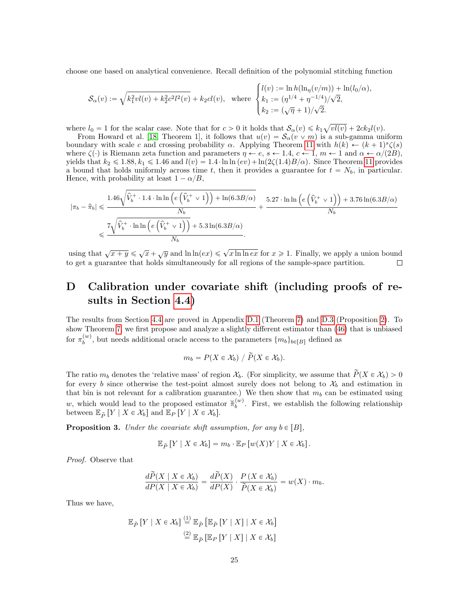choose one based on analytical convenience. Recall definition of the polynomial stitching function

$$
\mathcal{S}_{\alpha}(v) := \sqrt{k_1^2 v l(v) + k_2^2 c^2 l^2(v)} + k_2 c l(v), \text{ where } \begin{cases} l(v) := \ln h(\ln_{\eta}(v/m)) + \ln(l_0/\alpha), \\ k_1 := (\eta^{1/4} + \eta^{-1/4})/\sqrt{2}, \\ k_2 := (\sqrt{\eta} + 1)/\sqrt{2}. \end{cases}
$$

where  $l_0 = 1$  for the scalar case. Note that for  $c > 0$  it holds that  $\mathcal{S}_{\alpha}(v) \leq k_1 \sqrt{vl(v)} + 2ck_2l(v)$ .

From Howard et al. [\[18,](#page-14-8) Theorem 1], it follows that  $u(v) = S_\alpha(v \vee m)$  is a sub-gamma uniform boundary with scale c and crossing probability  $\alpha$ . Applying Theorem [11](#page-33-5) with  $h(k) \leftarrow (k+1)^s \zeta(s)$ where  $\zeta(\cdot)$  is Riemann zeta function and parameters  $\eta \leftarrow e$ ,  $s \leftarrow 1.4$ ,  $c \leftarrow 1$ ,  $m \leftarrow 1$  and  $\alpha \leftarrow \alpha/(2B)$ , yields that  $k_2 \le 1.88$ ,  $k_1 \le 1.46$  and  $l(v) = 1.4 \cdot \ln \ln{(ev)} + \ln(2\zeta(1.4)B/\alpha)$ . Since Theorem [11](#page-33-5) provides a bound that holds uniformly across time t, then it provides a guarantee for  $t = N_b$ , in particular. Hence, with probability at least  $1 - \alpha/B$ ,

$$
\begin{aligned} \left|\pi_{b}-\widehat{\pi}_{b}\right| &\leqslant \frac{1.46\sqrt{\widehat{V}_{b}^{+}\cdot1.4\cdot\ln\ln\left(e\left(\widehat{V}_{b}^{+}\vee1\right)\right)+\ln(6.3B/\alpha)}}{N_{b}}+\frac{5.27\cdot\ln\ln\left(e\left(\widehat{V}_{b}^{+}\vee1\right)\right)+3.76\ln(6.3B/\alpha)}{N_{b}}\\ &\leqslant \frac{7\sqrt{\widehat{V}_{b}^{+}\cdot\ln\ln\left(e\left(\widehat{V}_{b}^{+}\vee1\right)\right)+5.3\ln(6.3B/\alpha)}}{N_{b}}. \end{aligned}
$$

using that  $\sqrt{x+y} \le \sqrt{x} + \sqrt{y}$  and  $\ln \ln(ex) \le \sqrt{x \ln \ln ex}$  for  $x \ge 1$ . Finally, we apply a union bound to get a guarantee that holds simultaneously for all regions of the sample-space partition.  $\Box$ 

### <span id="page-24-0"></span>D Calibration under covariate shift (including proofs of results in Section [4.4\)](#page-11-0)

The results from Section [4.4](#page-11-0) are proved in Appendix [D.1](#page-25-0) (Theorem [7\)](#page-11-1) and [D.3](#page-28-0) (Proposition [2\)](#page-12-2). To show Theorem [7,](#page-11-1) we first propose and analyze a slightly different estimator than [\(46\)](#page-29-0) that is unbiased for  $\pi_b^{(w)}$ , but needs additional oracle access to the parameters  $\{m_b\}_{b \in [B]}$  defined as

$$
m_b = P(X \in \mathcal{X}_b) / \widetilde{P}(X \in \mathcal{X}_b).
$$

The ratio  $m_b$  denotes the 'relative mass' of region  $\mathcal{X}_b$ . (For simplicity, we assume that  $\widetilde{P}(X \in \mathcal{X}_b) > 0$ for every b since otherwise the test-point almost surely does not belong to  $\mathcal{X}_b$  and estimation in that bin is not relevant for a calibration guarantee.) We then show that  $m_b$  can be estimated using w, which would lead to the proposed estimator  $\breve{\pi}_b^{(w)}$ . First, we establish the following relationship between  $\mathbb{E}_{\widetilde{P}}[Y \mid X \in \mathcal{X}_b]$  and  $\mathbb{E}_P[Y \mid X \in \mathcal{X}_b]$ .

<span id="page-24-1"></span>**Proposition 3.** Under the covariate shift assumption, for any  $b \in [B]$ ,

$$
\mathbb{E}_{\widetilde{P}}\left[Y \mid X \in \mathcal{X}_b\right] = m_b \cdot \mathbb{E}_P\left[w(X)Y \mid X \in \mathcal{X}_b\right].
$$

Proof. Observe that

$$
\frac{d\widetilde{P}(X \mid X \in \mathcal{X}_b)}{dP(X \mid X \in \mathcal{X}_b)} = \frac{d\widetilde{P}(X)}{dP(X)} \cdot \frac{P(X \in \mathcal{X}_b)}{\widetilde{P}(X \in \mathcal{X}_b)} = w(X) \cdot m_b.
$$

Thus we have,

$$
\mathbb{E}_{\widetilde{P}}\left[Y \mid X \in \mathcal{X}_b\right] \stackrel{(1)}{=} \mathbb{E}_{\widetilde{P}}\left[\mathbb{E}_{\widetilde{P}}\left[Y \mid X\right] \mid X \in \mathcal{X}_b\right]
$$

$$
\stackrel{(2)}{=} \mathbb{E}_{\widetilde{P}}\left[\mathbb{E}_{P}\left[Y \mid X\right] \mid X \in \mathcal{X}_b\right]
$$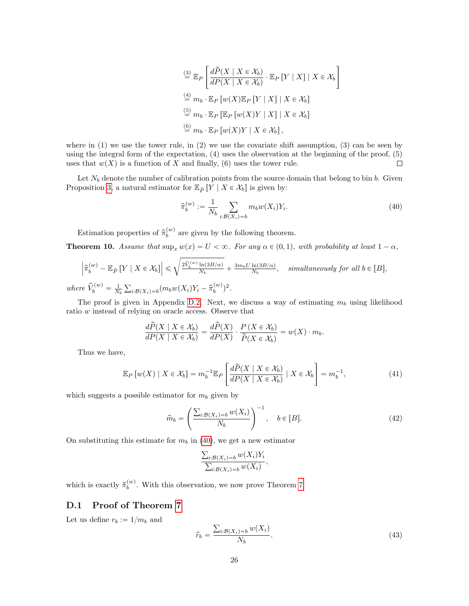$$
\begin{aligned}\n&\stackrel{\text{(3)}}{=} \mathbb{E}_P \left[ \frac{d\widetilde{P}(X \mid X \in \mathcal{X}_b)}{dP(X \mid X \in \mathcal{X}_b)} \cdot \mathbb{E}_P \left[ Y \mid X \right] \mid X \in \mathcal{X}_b \right] \\
&\stackrel{\text{(4)}}{=} m_b \cdot \mathbb{E}_P \left[ w(X) \mathbb{E}_P \left[ Y \mid X \right] \mid X \in \mathcal{X}_b \right] \\
&\stackrel{\text{(5)}}{=} m_b \cdot \mathbb{E}_P \left[ \mathbb{E}_P \left[ w(X)Y \mid X \right] \mid X \in \mathcal{X}_b \right] \\
&\stackrel{\text{(6)}}{=} m_b \cdot \mathbb{E}_P \left[ w(X)Y \mid X \in \mathcal{X}_b \right],\n\end{aligned}
$$

where in  $(1)$  we use the tower rule, in  $(2)$  we use the covariate shift assumption,  $(3)$  can be seen by using the integral form of the expectation, (4) uses the observation at the beginning of the proof, (5) uses that  $w(X)$  is a function of X and finally, (6) uses the tower rule.  $\Box$ 

Let  $N_b$  denote the number of calibration points from the source domain that belong to bin b. Given Proposition [3,](#page-24-1) a natural estimator for  $\mathbb{E}_{\widetilde{P}}[Y \mid X \in \mathcal{X}_b]$  is given by:

<span id="page-25-2"></span>
$$
\hat{\pi}_b^{(w)} := \frac{1}{N_b} \sum_{i: \mathcal{B}(X_i) = b} m_b w(X_i) Y_i.
$$
\n(40)

Estimation properties of  $\hat{\pi}_b^{(w)}$  are given by the following theorem.

<span id="page-25-1"></span>**Theorem 10.** Assume that  $\sup_x w(x) = U < \infty$ . For any  $\alpha \in (0, 1)$ , with probability at least  $1 - \alpha$ ,

$$
\left|\hat{\pi}_b^{(w)} - \mathbb{E}_{\tilde{P}}\left[Y \mid X \in \mathcal{X}_b\right]\right| \leqslant \sqrt{\frac{2\hat{V}_b^{(w)}\ln(3B/\alpha)}{N_b}} + \frac{3m_bU\ln(3B/\alpha)}{N_b}, \quad simultaneously \text{ for all } b \in [B],
$$
\n
$$
where \ \hat{V}_b^{(w)} = \frac{1}{N_b} \sum_{i:B(X_i) = b} (m_b w(X_i)Y_i - \hat{\pi}_b^{(w)})^2.
$$

The proof is given in Appendix [D.2.](#page-27-0) Next, we discuss a way of estimating  $m_b$  using likelihood ratio w instead of relying on oracle access. Observe that

$$
\frac{d\widetilde{P}(X \mid X \in \mathcal{X}_b)}{dP(X \mid X \in \mathcal{X}_b)} = \frac{d\widetilde{P}(X)}{dP(X)} \cdot \frac{P(X \in \mathcal{X}_b)}{\widetilde{P}(X \in \mathcal{X}_b)} = w(X) \cdot m_b.
$$

«

Thus we have,

<span id="page-25-4"></span>
$$
\mathbb{E}_P\left[w(X) \mid X \in \mathcal{X}_b\right] = m_b^{-1} \mathbb{E}_P\left[\frac{d\widetilde{P}(X \mid X \in \mathcal{X}_b)}{dP(X \mid X \in \mathcal{X}_b)} \mid X \in \mathcal{X}_b\right] = m_b^{-1},\tag{41}
$$

which suggests a possible estimator for  $m_b$  given by

<span id="page-25-5"></span>
$$
\widehat{m}_b = \left(\frac{\sum_{i:B(X_i) = b} w(X_i)}{N_b}\right)^{-1}, \quad b \in [B].
$$
\n(42)

ff

On substituting this estimate for  $m_b$  in [\(40\)](#page-25-2), we get a new estimator

$$
\frac{\sum_{i:\mathcal{B}(X_i)=b}w(X_i)Y_i}{\sum_{i:\mathcal{B}(X_i)=b}w(X_i)},
$$

which is exactly  $\check{\pi}_b^{(w)}$ . With this observation, we now prove Theorem [7.](#page-11-1)

### <span id="page-25-0"></span>D.1 Proof of Theorem [7](#page-11-1)

Let us define  $r_b := 1/m_b$  and

<span id="page-25-3"></span>
$$
\widehat{r}_b = \frac{\sum_{i:B(X_i) = b} w(X_i)}{N_b}.
$$
\n(43)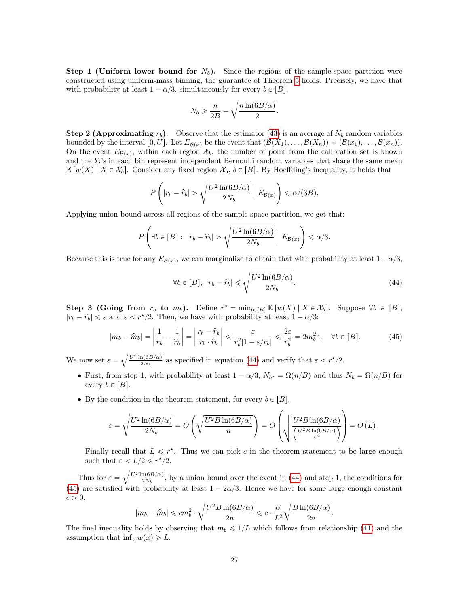**Step 1 (Uniform lower bound for**  $N_b$ **).** Since the regions of the sample-space partition were constructed using uniform-mass binning, the guarantee of Theorem [5](#page-10-1) holds. Precisely, we have that with probability at least  $1 - \alpha/3$ , simultaneously for every  $b \in [B]$ ,

$$
N_b \geqslant \frac{n}{2B} - \sqrt{\frac{n \ln(6B/\alpha)}{2}}.
$$

**Step 2 (Approximating**  $r<sub>b</sub>$ ). Observe that the estimator [\(43\)](#page-25-3) is an average of  $N<sub>b</sub>$  random variables bounded by the interval  $[0, U]$ . Let  $E_{\mathcal{B}(x)}$  be the event that  $(\mathcal{B}(X_1), \ldots, \mathcal{B}(X_n)) = (\mathcal{B}(x_1), \ldots, \mathcal{B}(x_n)).$ On the event  $E_{\mathcal{B}(x)}$ , within each region  $\mathcal{X}_b$ , the number of point from the calibration set is known and the  $Y_i$ 's in each bin represent independent Bernoulli random variables that share the same mean  $\mathbb{E}[w(X) | X \in \mathcal{X}_b]$ . Consider any fixed region  $\mathcal{X}_b$ ,  $b \in [B]$ . By Hoeffding's inequality, it holds that

$$
P\left(|r_b - \widehat{r}_b| > \sqrt{\frac{U^2 \ln(6B/\alpha)}{2N_b}} \mid E_{\mathcal{B}(x)}\right) \le \alpha/(3B).
$$

Applying union bound across all regions of the sample-space partition, we get that:

$$
P\left(\exists b\in[B]:\ |r_b-\widehat{r}_b|>\sqrt{\frac{U^2\ln(6B/\alpha)}{2N_b}}\ \Big|\ E_{\mathcal{B}(x)}\right)\leq \alpha/3.
$$

Because this is true for any  $E_{\mathcal{B}(x)}$ , we can marginalize to obtain that with probability at least  $1 - \alpha/3$ ,

<span id="page-26-0"></span>
$$
\forall b \in [B], \ |r_b - \hat{r}_b| \le \sqrt{\frac{U^2 \ln(6B/\alpha)}{2N_b}}.\tag{44}
$$

.

**Step 3 (Going from**  $r_b$  to  $m_b$ ). Define  $r^* = \min_{b \in [B]} \mathbb{E}[w(X) | X \in \mathcal{X}_b]$ . Suppose  $\forall b \in [B]$ ,  $|r_b - \hat{r}_b| \leq \varepsilon$  and  $\varepsilon < r^{\star}/2$ . Then, we have with probability at least  $1 - \alpha/3$ :

<span id="page-26-1"></span>
$$
|m_b - \hat{m}_b| = \left| \frac{1}{r_b} - \frac{1}{\hat{r}_b} \right| = \left| \frac{r_b - \hat{r}_b}{r_b \cdot \hat{r}_b} \right| \le \frac{\varepsilon}{r_b^2 |1 - \varepsilon/r_b|} \le \frac{2\varepsilon}{r_b^2} = 2m_b^2 \varepsilon, \quad \forall b \in [B].
$$
 (45)

We now set  $\varepsilon =$  $U^2\ln(6B/\alpha)$  $\frac{\ln(6B/\alpha)}{2N_b}$  as specified in equation [\(44\)](#page-26-0) and verify that  $\varepsilon < r^{\star}/2$ .

- First, from step 1, with probability at least  $1 \alpha/3$ ,  $N_{b^*} = \Omega(n/B)$  and thus  $N_b = \Omega(n/B)$  for every  $b \in [B]$ .
- By the condition in the theorem statement, for every  $b \in [B]$ , ¨

$$
\varepsilon = \sqrt{\frac{U^2 \ln(6B/\alpha)}{2N_b}} = O\left(\sqrt{\frac{U^2 B \ln(6B/\alpha)}{n}}\right) = O\left(\sqrt{\frac{U^2 B \ln(6B/\alpha)}{\left(\frac{U^2 B \ln(6B/\alpha)}{L^2}\right)}}\right) = O\left(L\right).
$$

Finally recall that  $L \leq r^*$ . Thus we can pick c in the theorem statement to be large enough such that  $\varepsilon < L/2 \leqslant r^{\star}/2$ .

Thus for  $\varepsilon = \sqrt{\frac{U^2 \ln(6B/\alpha)}{2N_b}}$  $\frac{n(6B/\alpha)}{2N_b}$ , by a union bound over the event in [\(44\)](#page-26-0) and step 1, the conditions for [\(45\)](#page-26-1) are satisfied with probability at least  $1 - 2\alpha/3$ . Hence we have for some large enough constant  $c > 0$ ,

$$
|m_b - \hat{m}_b| \le cm_b^2 \cdot \sqrt{\frac{U^2 B \ln(6B/\alpha)}{2n}} \le c \cdot \frac{U}{L^2} \sqrt{\frac{B \ln(6B/\alpha)}{2n}}
$$

The final inequality holds by observing that  $m_b \leq 1/L$  which follows from relationship [\(41\)](#page-25-4) and the assumption that  $\inf_x w(x) \geq L$ .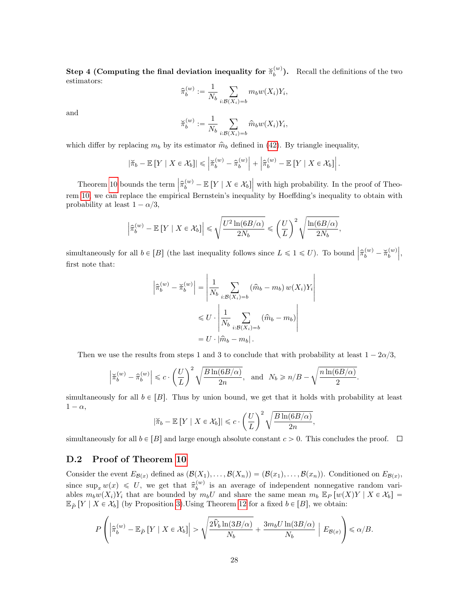Step 4 (Computing the final deviation inequality for  $\breve{\pi}_b^{(w)}$ ). Recall the definitions of the two estimators:

$$
\widehat{\pi}_b^{(w)} := \frac{1}{N_b} \sum_{i: \mathcal{B}(X_i) = b} m_b w(X_i) Y_i,
$$

and

$$
\breve{\pi}_b^{(w)} := \frac{1}{N_b} \sum_{i: \mathcal{B}(X_i) = b} \widehat{m}_b w(X_i) Y_i,
$$

which differ by replacing  $m_b$  by its estimator  $\hat{m}_b$  defined in [\(42\)](#page-25-5). By triangle inequality,

$$
|\breve{\pi}_b - \mathbb{E}[Y \mid X \in \mathcal{X}_b]| \leq |\breve{\pi}_b^{(w)} - \widehat{\pi}_b^{(w)}| + |\widehat{\pi}_b^{(w)} - \mathbb{E}[Y \mid X \in \mathcal{X}_b]|.
$$

Theorem [10](#page-25-1) bounds the term  $\left|\hat{\pi}_{b}^{(w)} - \mathbb{E}\left[Y \mid X \in \mathcal{X}_{b}\right]\right|$  with high probability. In the proof of Theorem [10,](#page-25-1) we can replace the empirical Bernstein's inequality by Hoeffding's inequality to obtain with probability at least  $1 - \alpha/3$ ,

$$
\left|\widehat{\pi}_b^{(w)} - \mathbb{E}\left[Y \mid X \in \mathcal{X}_b\right]\right| \leqslant \sqrt{\frac{U^2\ln(6B/\alpha)}{2N_b}} \leqslant \left(\frac{U}{L}\right)^2\sqrt{\frac{\ln(6B/\alpha)}{2N_b}},
$$

simultaneously for all  $b \in [B]$  (the last inequality follows since  $L \leq 1 \leq U$ ). To bound  $\left| \hat{\pi}_b^{(w)} - \check{\pi}_b^{(w)} \right|$ , first note that:

$$
\left| \hat{\pi}_b^{(w)} - \check{\pi}_b^{(w)} \right| = \left| \frac{1}{N_b} \sum_{i:B(X_i) = b} (\hat{m}_b - m_b) w(X_i) Y_i \right|
$$
  

$$
\leq U \cdot \left| \frac{1}{N_b} \sum_{i:B(X_i) = b} (\hat{m}_b - m_b) \right|
$$
  

$$
= U \cdot |\hat{m}_b - m_b|.
$$

Then we use the results from steps 1 and 3 to conclude that with probability at least  $1 - 2\alpha/3$ ,

$$
\left|\widecheck{\pi}_{b}^{(w)}-\widehat{\pi}_{b}^{(w)}\right|\leqslant c\cdot\left(\frac{U}{L}\right)^2\sqrt{\frac{B\ln(6B/\alpha)}{2n}},\quad\text{and}\quad N_{b}\geqslant n/B-\sqrt{\frac{n\ln(6B/\alpha)}{2}}.
$$

simultaneously for all  $b \in [B]$ . Thus by union bound, we get that it holds with probability at least  $1 - \alpha$ ,  $\sqrt{2}$  /

$$
|\breve{\pi}_b - \mathbb{E}[Y \mid X \in \mathcal{X}_b]| \leqslant c \cdot \left(\frac{U}{L}\right)^2 \sqrt{\frac{B \ln(6B/\alpha)}{2n}},
$$

simultaneously for all  $b \in [B]$  and large enough absolute constant  $c > 0$ . This concludes the proof.  $\Box$ 

### <span id="page-27-0"></span>D.2 Proof of Theorem [10](#page-25-1)

Consider the event  $E_{\mathcal{B}(x)}$  defined as  $(\mathcal{B}(X_1), \ldots, \mathcal{B}(X_n)) = (\mathcal{B}(x_1), \ldots, \mathcal{B}(x_n))$ . Conditioned on  $E_{\mathcal{B}(x)}$ , since  $\sup_x w(x) \leq U$ , we get that  $\hat{\pi}_b^{(w)}$  is an average of independent nonnegative random variables  $m_bw(X_i)Y_i$  that are bounded by  $m_bU$  and share the same mean  $m_b E_P [w(X)Y | X \in \mathcal{X}_b] =$  $\mathbb{E}_{\tilde{P}}[Y \mid X \in \mathcal{X}_b]$  (by Proposition [3\)](#page-24-1).Using Theorem [12](#page-33-3) for a fixed  $b \in [B]$ , we obtain:

$$
P\left(\left|\widehat{\pi}_{b}^{(w)} - \mathbb{E}_{\widetilde{P}}\left[Y \mid X \in \mathcal{X}_{b}\right]\right| > \sqrt{\frac{2\widehat{V}_{b}\ln(3B/\alpha)}{N_{b}}} + \frac{3m_{b}U\ln(3B/\alpha)}{N_{b}}\left(\mathbb{E}_{\mathcal{B}(x)}\right) \le \alpha/B.
$$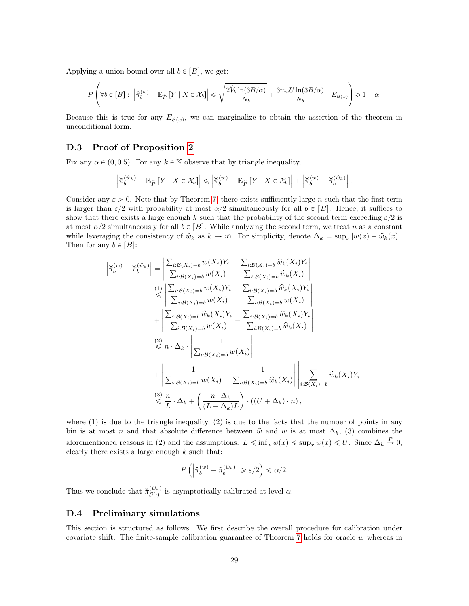Applying a union bound over all  $b \in [B]$ , we get:

$$
P\left(\forall b\in[B]:\ \left|\widehat{\pi}_{b}^{(w)}-\mathbb{E}_{\widetilde{P}}\left[Y\mid X\in\mathcal{X}_{b}\right]\right|\leq\sqrt{\frac{2\widehat{V}_{b}\ln(3B/\alpha)}{N_{b}}}+\frac{3m_{b}U\ln(3B/\alpha)}{N_{b}}\ \bigg|\ E_{\mathcal{B}(x)}\right)\geq 1-\alpha.
$$

Because this is true for any  $E_{\mathcal{B}(x)}$ , we can marginalize to obtain the assertion of the theorem in unconditional form.  $\Box$ 

### <span id="page-28-0"></span>D.3 Proof of Proposition [2](#page-12-2)

Fix any  $\alpha \in (0, 0.5)$ . For any  $k \in \mathbb{N}$  observe that by triangle inequality,

$$
\left|\widetilde{\pi}_{b}^{(\hat{w}_k)} - \mathbb{E}_{\widetilde{P}}\left[Y \mid X \in \mathcal{X}_b\right]\right| \leq \left|\widetilde{\pi}_{b}^{(w)} - \mathbb{E}_{\widetilde{P}}\left[Y \mid X \in \mathcal{X}_b\right]\right| + \left|\widetilde{\pi}_{b}^{(w)} - \widetilde{\pi}_{b}^{(\hat{w}_k)}\right|.
$$

Consider any  $\varepsilon > 0$ . Note that by Theorem [7,](#page-11-1) there exists sufficiently large n such that the first term is larger than  $\varepsilon/2$  with probability at most  $\alpha/2$  simultaneously for all  $b \in [B]$ . Hence, it suffices to show that there exists a large enough k such that the probability of the second term exceeding  $\varepsilon/2$  is at most  $\alpha/2$  simultaneously for all  $b \in [B]$ . While analyzing the second term, we treat n as a constant while leveraging the consistency of  $\hat{w}_k$  as  $k \to \infty$ . For simplicity, denote  $\Delta_k = \sup_x |w(x) - \hat{w}_k(x)|$ . Then for any  $b \in [B]$ :

$$
\begin{split}\n\left|\widetilde{\pi}_{b}^{(w)} - \widetilde{\pi}_{b}^{(\widehat{w}_{k})}\right| &= \left|\frac{\sum_{i:B(X_{i})=b} w(X_{i})Y_{i}}{\sum_{i:B(X_{i})=b} w(X_{i})} - \frac{\sum_{i:B(X_{i})=b} \widehat{w}_{k}(X_{i})Y_{i}}{\sum_{i:B(X_{i})=b} \widehat{w}_{k}(X_{i})}\right| \\
&\leqslant\n\left|\frac{\sum_{i:B(X_{i})=b} w(X_{i})Y_{i}}{\sum_{i:B(X_{i})=b} w(X_{i})} - \frac{\sum_{i:B(X_{i})=b} \widehat{w}_{k}(X_{i})Y_{i}}{\sum_{i:B(X_{i})=b} w(X_{i})}\right| \\
&\quad + \left|\frac{\sum_{i:B(X_{i})=b} \widehat{w}_{k}(X_{i})Y_{i}}{\sum_{i:B(X_{i})=b} w(X_{i})} - \frac{\sum_{i:B(X_{i})=b} \widehat{w}_{k}(X_{i})Y_{i}}{\sum_{i:B(X_{i})=b} \widehat{w}_{k}(X_{i})}\right| \\
&\leqslant n \cdot \Delta_{k} \cdot \left|\frac{1}{\sum_{i:B(X_{i})=b} w(X_{i})}\right| \\
&\quad + \left|\frac{1}{\sum_{i:B(X_{i})=b} w(X_{i})} - \frac{1}{\sum_{i:B(X_{i})=b} \widehat{w}_{k}(X_{i})}\right| \left|\sum_{i:B(X_{i})=b} \widehat{w}_{k}(X_{i})Y_{i}\right| \\
&\leqslant n \cdot \Delta_{k} + \left(\frac{n \cdot \Delta_{k}}{(L - \Delta_{k})L}\right) \cdot \left((U + \Delta_{k}) \cdot n\right),\n\end{split}
$$

where  $(1)$  is due to the triangle inequality,  $(2)$  is due to the facts that the number of points in any bin is at most n and that absolute difference between  $\hat{w}$  and w is at most  $\Delta_k$ , (3) combines the aforementioned reasons in (2) and the assumptions:  $L \leq \inf_x w(x) \leq \sup_x w(x) \leq U$ . Since  $\Delta_k \stackrel{P}{\to} 0$ , clearly there exists a large enough  $k$  such that:

$$
P\left(\left|\breve{\pi}_b^{(w)} - \breve{\pi}_b^{(\hat{w}_k)}\right| \geqslant \varepsilon/2\right) \leqslant \alpha/2.
$$

Thus we conclude that  $\breve{\pi}_{\mathcal{B}(\cdot)}^{(\hat{w}_k)}$  is asymptotically calibrated at level  $\alpha$ .

 $\Box$ 

### <span id="page-28-1"></span>D.4 Preliminary simulations

This section is structured as follows. We first describe the overall procedure for calibration under covariate shift. The finite-sample calibration guarantee of Theorem [7](#page-11-1) holds for oracle w whereas in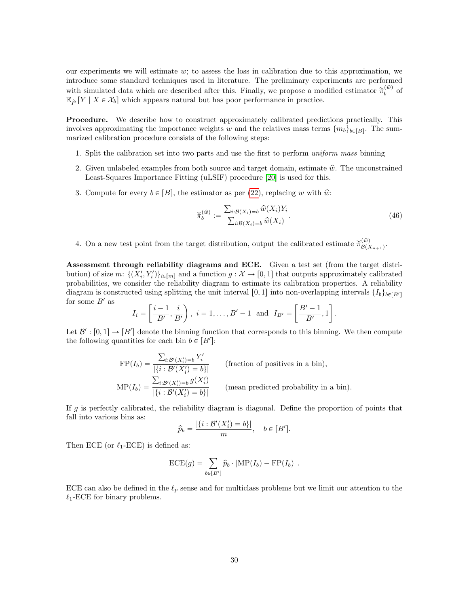our experiments we will estimate  $w$ ; to assess the loss in calibration due to this approximation, we introduce some standard techniques used in literature. The preliminary experiments are performed with simulated data which are described after this. Finally, we propose a modified estimator  $\tilde{\pi}_b^{(\hat{w})}$  of  $\mathbb{E}_{\tilde{P}}[Y \mid X \in \mathcal{X}_b]$  which appears natural but has poor performance in practice.

Procedure. We describe how to construct approximately calibrated predictions practically. This involves approximating the importance weights w and the relatives mass terms  $\{m_b\}_{b \in [B]}$ . The summarized calibration procedure consists of the following steps:

- 1. Split the calibration set into two parts and use the first to perform uniform mass binning
- 2. Given unlabeled examples from both source and target domain, estimate  $\hat{w}$ . The unconstrained Least-Squares Importance Fitting (uLSIF) procedure [\[20\]](#page-14-11) is used for this.
- 3. Compute for every  $b \in [B]$ , the estimator as per [\(22\)](#page-11-3), replacing w with  $\hat{w}$ :

<span id="page-29-0"></span>
$$
\breve{\pi}_b^{(\hat{w})} := \frac{\sum_{i:B(X_i)=b} \hat{w}(X_i) Y_i}{\sum_{i:B(X_i)=b} \hat{w}(X_i)}.
$$
\n(46)

4. On a new test point from the target distribution, output the calibrated estimate  $\breve{\pi}_{\mathcal{R}(i)}^{(\hat{w})}$  $\overset{(w)}{\mathcal{B}(X_{n+1})}$ .

Assessment through reliability diagrams and ECE. Given a test set (from the target distribution) of size  $m: \{(X'_i, Y'_i)\}_{i \in [m]}$  and a function  $g : X \to [0, 1]$  that outputs approximately calibrated probabilities, we consider the reliability diagram to estimate its calibration properties. A reliability diagram is constructed using splitting the unit interval [0, 1] into non-overlapping intervals  $\{I_b\}_{b \in [B']}$ for some  $B'$  as " " 

$$
I_i = \left[\frac{i-1}{B'}, \frac{i}{B'}\right), i = 1, ..., B' - 1
$$
 and  $I_{B'} = \left[\frac{B'-1}{B'}, 1\right]$ .

Let  $\mathcal{B}' : [0,1] \to [B']$  denote the binning function that corresponds to this binning. We then compute the following quantities for each bin  $b \in [B']$ :

$$
\text{FP}(I_b) = \frac{\sum_{i:B'(X'_i) = b} Y'_i}{|\{i : B'(X'_i) = b\}|} \qquad \text{(fraction of positives in a bin)},
$$
\n
$$
\text{MP}(I_b) = \frac{\sum_{i:B'(X'_i) = b} g(X'_i)}{|\{i : B'(X'_i) = b\}|} \qquad \text{(mean predicted probability in a bin)}.
$$

If  $g$  is perfectly calibrated, the reliability diagram is diagonal. Define the proportion of points that fall into various bins as:

$$
\widehat{p}_b = \frac{|\{i : \mathcal{B}'(X_i') = b\}|}{m}, \quad b \in [B'].
$$

Then ECE (or  $\ell_1$ -ECE) is defined as:

$$
\mathrm{ECE}(g) = \sum_{b \in [B']} \widehat{p}_b \cdot |\mathrm{MP}(I_b) - \mathrm{FP}(I_b)|.
$$

ECE can also be defined in the  $\ell_p$  sense and for multiclass problems but we limit our attention to the  $\ell_1$ -ECE for binary problems.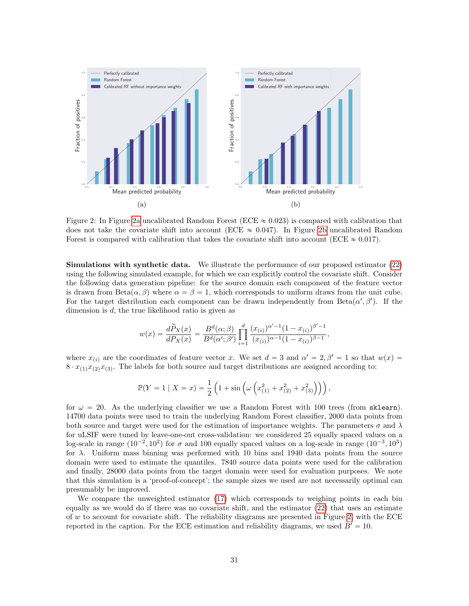<span id="page-30-0"></span>

Figure 2: In Figure [2a](#page-30-0) uncalibrated Random Forest (ECE  $\approx 0.023$ ) is compared with calibration that does not take the covariate shift into account (ECE  $\approx 0.047$ ). In Figure [2b](#page-30-0) uncalibrated Random Forest is compared with calibration that takes the covariate shift into account (ECE  $\approx 0.017$ ).

Simulations with synthetic data. We illustrate the performance of our proposed estimator [\(22\)](#page-11-3) using the following simulated example, for which we can explicitly control the covariate shift. Consider the following data generation pipeline: for the source domain each component of the feature vector is drawn from Beta $(\alpha, \beta)$  where  $\alpha = \beta = 1$ , which corresponds to uniform draws from the unit cube. For the target distribution each component can be drawn independently from  $Beta(\alpha', \beta')$ . If the dimension is d, the true likelihood ratio is given as

$$
w(x) = \frac{d\widetilde{P}_X(x)}{dP_X(x)} = \frac{B^d(\alpha;\beta)}{B^d(\alpha';\beta')} \prod_{i=1}^d \frac{(x_{(i)})^{\alpha'-1} (1-x_{(i)})^{\beta'-1}}{(x_{(i)})^{\alpha-1} (1-x_{(i)})^{\beta-1}},
$$

where  $x_{(i)}$  are the coordinates of feature vector x. We set  $d = 3$  and  $\alpha' = 2, \beta' = 1$  so that  $w(x) =$  $8 \cdot x_{(1)}x_{(2)}x_{(3)}$ . The labels for both source and target distributions are assigned according to:

$$
\mathbb{P}(Y = 1 | X = x) = \frac{1}{2} \left( 1 + \sin \left( \omega \left( x_{(1)}^2 + x_{(2)}^2 + x_{(3)}^2 \right) \right) \right),
$$

for  $\omega = 20$ . As the underlying classifier we use a Random Forest with 100 trees (from sklearn). 14700 data points were used to train the underlying Random Forest classifier, 2000 data points from both source and target were used for the estimation of importance weights. The parameters  $\sigma$  and  $\lambda$ for uLSIF were tuned by leave-one-out cross-validation: we considered 25 equally spaced values on a log-scale in range  $(10^{-2}, 10^{2})$  for  $\sigma$  and 100 equally spaced values on a log-scale in range  $(10^{-3}, 10^{3})$ for λ. Uniform mass binning was performed with 10 bins and 1940 data points from the source domain were used to estimate the quantiles. 7840 source data points were used for the calibration and finally, 28000 data points from the target domain were used for evaluation purposes. We note that this simulation is a 'proof-of-concept'; the sample sizes we used are not necessarily optimal can presumably be improved.

We compare the unweighted estimator [\(17\)](#page-8-4) which corresponds to weighing points in each bin equally as we would do if there was no covariate shift, and the estimator [\(22\)](#page-11-3) that uses an estimate of w to account for covariate shift. The reliability diagrams are presented in Figure [2,](#page-30-0) with the ECE reported in the caption. For the ECE estimation and reliability diagrams, we used  $B' = 10$ .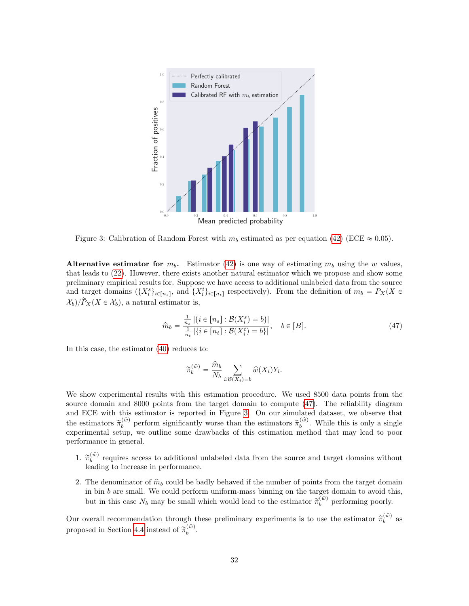<span id="page-31-1"></span>

Figure 3: Calibration of Random Forest with  $m_b$  estimated as per equation [\(42\)](#page-25-5) (ECE  $\approx 0.05$ ).

Alternative estimator for  $m_b$ . Estimator [\(42\)](#page-25-5) is one way of estimating  $m_b$  using the w values, that leads to [\(22\)](#page-11-3). However, there exists another natural estimator which we propose and show some preliminary empirical results for. Suppose we have access to additional unlabeled data from the source and target domains  $({X_i^s}_{i\in[n_s]},$  and  ${X_i^t}_{i\in[n_t]}$  respectively). From the definition of  $m_b = P_X(X \in$  $\mathcal{X}_b$ )/ $\widetilde{P}_X(X \in \mathcal{X}_b)$ , a natural estimator is,

<span id="page-31-0"></span>
$$
\widehat{m}_b = \frac{\frac{1}{n_s} |\{i \in [n_s] : \mathcal{B}(X_i^s) = b\}|}{\frac{1}{n_t} |\{i \in [n_t] : \mathcal{B}(X_i^t) = b\}|}, \quad b \in [B].
$$
\n(47)

In this case, the estimator [\(40\)](#page-25-2) reduces to:

$$
\widetilde{\pi}_b^{(\hat{w})} = \frac{\widehat{m}_b}{N_b} \sum_{i: \mathcal{B}(X_i) = b} \widehat{w}(X_i) Y_i.
$$

We show experimental results with this estimation procedure. We used 8500 data points from the source domain and 8000 points from the target domain to compute [\(47\)](#page-31-0). The reliability diagram and ECE with this estimator is reported in Figure [3.](#page-31-1) On our simulated dataset, we observe that the estimators  $\tilde{\pi}_b^{(\hat{w})}$  perform significantly worse than the estimators  $\tilde{\pi}_b^{(\hat{w})}$ . While this is only a single experimental setup, we outline some drawbacks of this estimation method that may lead to poor performance in general.

- 1.  $\tilde{\pi}_b^{(\hat{w})}$  requires access to additional unlabeled data from the source and target domains without leading to increase in performance.
- 2. The denominator of  $\hat{m}_b$  could be badly behaved if the number of points from the target domain in bin  $b$  are small. We could perform uniform-mass binning on the target domain to avoid this, but in this case  $N_b$  may be small which would lead to the estimator  $\tilde{\pi}_b^{(\hat{w})}$  performing poorly.

Our overall recommendation through these preliminary experiments is to use the estimator  $\hat{\pi}_b^{(\hat{w})}$  as proposed in Section [4.4](#page-11-0) instead of  $\tilde{\pi}_b^{(\hat{w})}$ .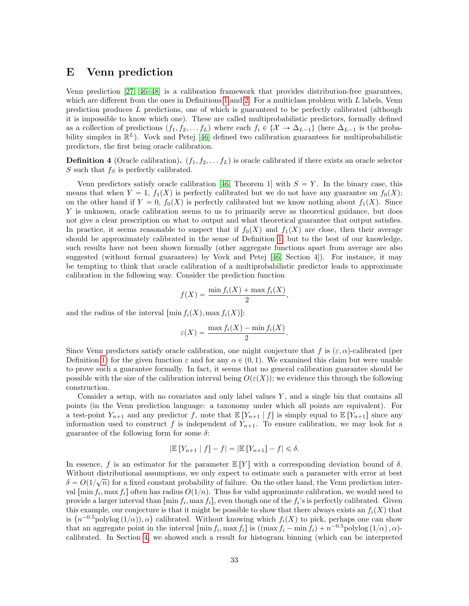### <span id="page-32-0"></span>E Venn prediction

Venn prediction [\[27,](#page-15-13) [46](#page-16-3)[–48\]](#page-16-0) is a calibration framework that provides distribution-free guarantees, which are different from the ones in Definitions [1](#page-3-4) and [2.](#page-3-5) For a multiclass problem with  $L$  labels, Venn prediction produces L predictions, one of which is guaranteed to be perfectly calibrated (although it is impossible to know which one). These are called multiprobabilistic predictors, formally defined as a collection of predictions  $(f_1, f_2, \ldots, f_L)$  where each  $f_i \in \{X \to \Delta_{L-1}\}\$  (here  $\Delta_{L-1}$  is the probability simplex in  $\mathbb{R}^L$ ). Vovk and Petej [\[46\]](#page-16-3) defined two calibration guarantees for multiprobabilistic predictors, the first being oracle calibration.

**Definition 4** (Oracle calibration).  $(f_1, f_2, \ldots, f_L)$  is oracle calibrated if there exists an oracle selector S such that  $f<sub>S</sub>$  is perfectly calibrated.

Venn predictors satisfy oracle calibration [\[46,](#page-16-3) Theorem 1] with  $S = Y$ . In the binary case, this means that when  $Y = 1$ ,  $f_1(X)$  is perfectly calibrated but we do not have any guarantee on  $f_0(X)$ ; on the other hand if  $Y = 0$ ,  $f_0(X)$  is perfectly calibrated but we know nothing about  $f_1(X)$ . Since Y is unknown, oracle calibration seems to us to primarily serve as theoretical guidance, but does not give a clear prescription on what to output and what theoretical guarantee that output satisfies. In practice, it seems reasonable to suspect that if  $f_0(X)$  and  $f_1(X)$  are close, then their average should be approximately calibrated in the sense of Definition [1,](#page-3-4) but to the best of our knowledge, such results have not been shown formally (other aggregate functions apart from average are also suggested (without formal guarantees) by Vovk and Petej [\[46,](#page-16-3) Section 4]). For instance, it may be tempting to think that oracle calibration of a multiprobabilistic predictor leads to approximate calibration in the following way. Consider the prediction function

$$
f(X) = \frac{\min f_i(X) + \max f_i(X)}{2},
$$

and the radius of the interval  $\lceil \min f_i(X), \max f_i(X) \rceil$ :

$$
\varepsilon(X) = \frac{\max f_i(X) - \min f_i(X)}{2}.
$$

Since Venn predictors satisfy oracle calibration, one might conjecture that f is  $(\varepsilon, \alpha)$ -calibrated (per Definition [1\)](#page-3-4) for the given function  $\varepsilon$  and for any  $\alpha \in (0, 1)$ . We examined this claim but were unable to prove such a guarantee formally. In fact, it seems that no general calibration guarantee should be possible with the size of the calibration interval being  $O(\varepsilon(X))$ ; we evidence this through the following construction.

Consider a setup, with no covariates and only label values  $Y$ , and a single bin that contains all points (in the Venn prediction language: a taxonomy under which all points are equivalent). For a test-point  $Y_{n+1}$  and any predictor f, note that  $\mathbb{E}[Y_{n+1} | f]$  is simply equal to  $\mathbb{E}[Y_{n+1}]$  since any information used to construct f is independent of  $Y_{n+1}$ . To ensure calibration, we may look for a guarantee of the following form for some  $\delta$ :

$$
|\mathbb{E}\left[Y_{n+1} \mid f\right] - f| = |\mathbb{E}\left[Y_{n+1}\right] - f| \leq \delta.
$$

In essence, f is an estimator for the parameter  $\mathbb{E}[Y]$  with a corresponding deviation bound of  $\delta$ . Without distributional assumptions, we only expect to estimate such a parameter with error at best<br> $\sum_{n=0}^{\infty} O(1/\sqrt{n})$  for a fixed system underliking of failure. On the thanks had the Vanus undistinguistic  $\delta = O(1/\sqrt{n})$  for a fixed constant probability of failure. On the other hand, the Venn prediction interval  $[\min f_i, \max f_i]$  often has radius  $O(1/n)$ . Thus for valid approximate calibration, we would need to provide a larger interval than  $[\min f_i, \max f_i]$ , even though one of the  $f_i$ 's is perfectly calibrated. Given this example, our conjecture is that it might be possible to show that there always exists an  $f_i(X)$  that this example, our conjecture is that it might be possible to show that there always exists an  $f_i(X)$  that is  $(n^{-0.5} \text{polylog}(1/\alpha)), \alpha)$  calibrated. Without knowing which  $f_i(X)$  to pick, perhaps one can show that an aggregate point in the interval  $[\min f_i, \max f_i]$  is  $((\max f_i - \min f_i) + n^{-0.5} \text{polylog}(1/\alpha), \alpha)$ calibrated. In Section [4,](#page-8-0) we showed such a result for histogram binning (which can be interpreted